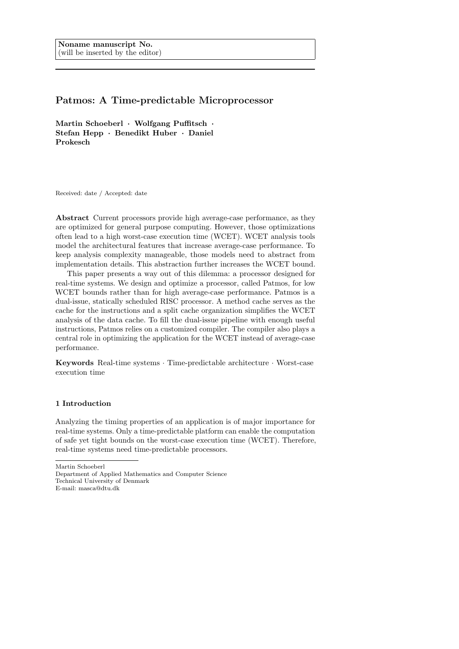# Patmos: A Time-predictable Microprocessor

Martin Schoeberl · Wolfgang Puffitsch · Stefan Hepp · Benedikt Huber · Daniel Prokesch

Received: date / Accepted: date

Abstract Current processors provide high average-case performance, as they are optimized for general purpose computing. However, those optimizations often lead to a high worst-case execution time (WCET). WCET analysis tools model the architectural features that increase average-case performance. To keep analysis complexity manageable, those models need to abstract from implementation details. This abstraction further increases the WCET bound.

This paper presents a way out of this dilemma: a processor designed for real-time systems. We design and optimize a processor, called Patmos, for low WCET bounds rather than for high average-case performance. Patmos is a dual-issue, statically scheduled RISC processor. A method cache serves as the cache for the instructions and a split cache organization simplifies the WCET analysis of the data cache. To fill the dual-issue pipeline with enough useful instructions, Patmos relies on a customized compiler. The compiler also plays a central role in optimizing the application for the WCET instead of average-case performance.

Keywords Real-time systems · Time-predictable architecture · Worst-case execution time

# 1 Introduction

Analyzing the timing properties of an application is of major importance for real-time systems. Only a time-predictable platform can enable the computation of safe yet tight bounds on the worst-case execution time (WCET). Therefore, real-time systems need time-predictable processors.

Martin Schoeberl

- Department of Applied Mathematics and Computer Science Technical University of Denmark
- E-mail: masca@dtu.dk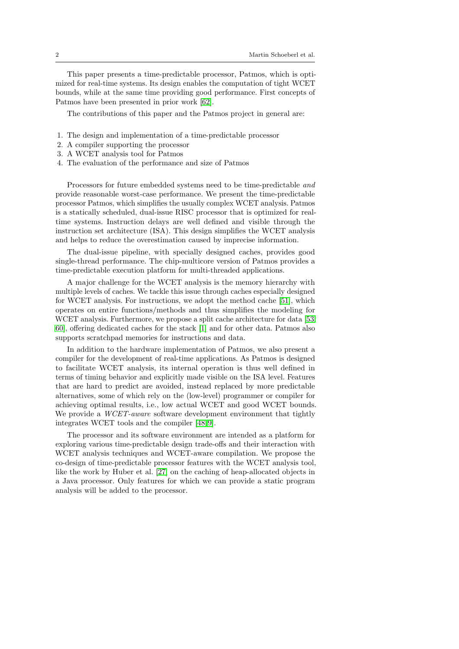This paper presents a time-predictable processor, Patmos, which is optimized for real-time systems. Its design enables the computation of tight WCET bounds, while at the same time providing good performance. First concepts of Patmos have been presented in prior work [\[62\]](#page-33-0).

The contributions of this paper and the Patmos project in general are:

- 1. The design and implementation of a time-predictable processor
- 2. A compiler supporting the processor
- 3. A WCET analysis tool for Patmos
- 4. The evaluation of the performance and size of Patmos

Processors for future embedded systems need to be time-predictable and provide reasonable worst-case performance. We present the time-predictable processor Patmos, which simplifies the usually complex WCET analysis. Patmos is a statically scheduled, dual-issue RISC processor that is optimized for realtime systems. Instruction delays are well defined and visible through the instruction set architecture (ISA). This design simplifies the WCET analysis and helps to reduce the overestimation caused by imprecise information.

The dual-issue pipeline, with specially designed caches, provides good single-thread performance. The chip-multicore version of Patmos provides a time-predictable execution platform for multi-threaded applications.

A major challenge for the WCET analysis is the memory hierarchy with multiple levels of caches. We tackle this issue through caches especially designed for WCET analysis. For instructions, we adopt the method cache [\[51\]](#page-32-0), which operates on entire functions/methods and thus simplifies the modeling for WCET analysis. Furthermore, we propose a split cache architecture for data [\[53,](#page-32-1) [60\]](#page-33-1), offering dedicated caches for the stack [\[1\]](#page-29-0) and for other data. Patmos also supports scratchpad memories for instructions and data.

In addition to the hardware implementation of Patmos, we also present a compiler for the development of real-time applications. As Patmos is designed to facilitate WCET analysis, its internal operation is thus well defined in terms of timing behavior and explicitly made visible on the ISA level. Features that are hard to predict are avoided, instead replaced by more predictable alternatives, some of which rely on the (low-level) programmer or compiler for achieving optimal results, i.e., low actual WCET and good WCET bounds. We provide a *WCET-aware* software development environment that tightly integrates WCET tools and the compiler [\[48,](#page-32-2) [9\]](#page-30-0).

The processor and its software environment are intended as a platform for exploring various time-predictable design trade-offs and their interaction with WCET analysis techniques and WCET-aware compilation. We propose the co-design of time-predictable processor features with the WCET analysis tool, like the work by Huber et al. [\[27\]](#page-31-0) on the caching of heap-allocated objects in a Java processor. Only features for which we can provide a static program analysis will be added to the processor.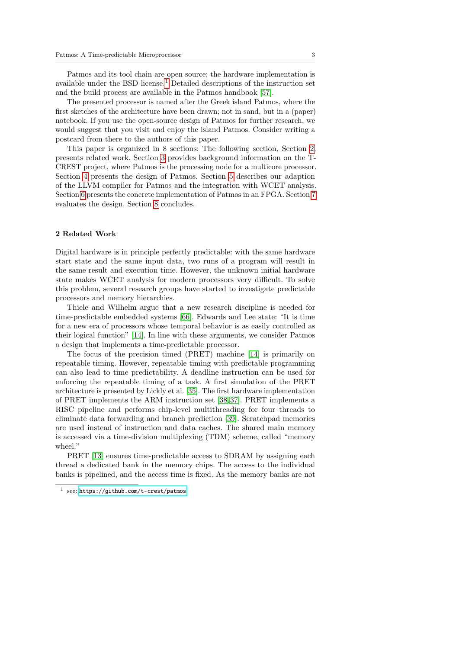Patmos and its tool chain are open source; the hardware implementation is available under the BSD license.<sup>[1](#page-2-0)</sup> Detailed descriptions of the instruction set and the build process are available in the Patmos handbook [\[57\]](#page-33-2).

The presented processor is named after the Greek island Patmos, where the first sketches of the architecture have been drawn; not in sand, but in a (paper) notebook. If you use the open-source design of Patmos for further research, we would suggest that you visit and enjoy the island Patmos. Consider writing a postcard from there to the authors of this paper.

This paper is organized in 8 sections: The following section, Section [2,](#page-2-1) presents related work. Section [3](#page-4-0) provides background information on the T-CREST project, where Patmos is the processing node for a multicore processor. Section [4](#page-8-0) presents the design of Patmos. Section [5](#page-13-0) describes our adaption of the LLVM compiler for Patmos and the integration with WCET analysis. Section [6](#page-19-0) presents the concrete implementation of Patmos in an FPGA. Section [7](#page-21-0) evaluates the design. Section [8](#page-29-1) concludes.

### <span id="page-2-1"></span>2 Related Work

Digital hardware is in principle perfectly predictable: with the same hardware start state and the same input data, two runs of a program will result in the same result and execution time. However, the unknown initial hardware state makes WCET analysis for modern processors very difficult. To solve this problem, several research groups have started to investigate predictable processors and memory hierarchies.

Thiele and Wilhelm argue that a new research discipline is needed for time-predictable embedded systems [\[66\]](#page-33-3). Edwards and Lee state: "It is time for a new era of processors whose temporal behavior is as easily controlled as their logical function" [\[14\]](#page-30-1). In line with these arguments, we consider Patmos a design that implements a time-predictable processor.

The focus of the precision timed (PRET) machine [\[14\]](#page-30-1) is primarily on repeatable timing. However, repeatable timing with predictable programming can also lead to time predictability. A deadline instruction can be used for enforcing the repeatable timing of a task. A first simulation of the PRET architecture is presented by Lickly et al. [\[35\]](#page-31-1). The first hardware implementation of PRET implements the ARM instruction set [\[38,](#page-31-2)[37\]](#page-31-3). PRET implements a RISC pipeline and performs chip-level multithreading for four threads to eliminate data forwarding and branch prediction [\[39\]](#page-32-3). Scratchpad memories are used instead of instruction and data caches. The shared main memory is accessed via a time-division multiplexing (TDM) scheme, called "memory wheel."

PRET [\[13\]](#page-30-2) ensures time-predictable access to SDRAM by assigning each thread a dedicated bank in the memory chips. The access to the individual banks is pipelined, and the access time is fixed. As the memory banks are not

<span id="page-2-0"></span><sup>1</sup> see: <https://github.com/t-crest/patmos>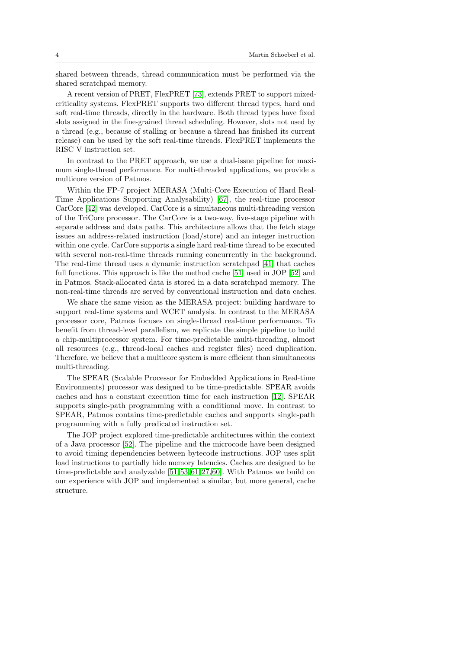shared between threads, thread communication must be performed via the shared scratchpad memory.

A recent version of PRET, FlexPRET [\[73\]](#page-33-4), extends PRET to support mixedcriticality systems. FlexPRET supports two different thread types, hard and soft real-time threads, directly in the hardware. Both thread types have fixed slots assigned in the fine-grained thread scheduling. However, slots not used by a thread (e.g., because of stalling or because a thread has finished its current release) can be used by the soft real-time threads. FlexPRET implements the RISC V instruction set.

In contrast to the PRET approach, we use a dual-issue pipeline for maximum single-thread performance. For multi-threaded applications, we provide a multicore version of Patmos.

Within the FP-7 project MERASA (Multi-Core Execution of Hard Real-Time Applications Supporting Analysability) [\[67\]](#page-33-5), the real-time processor CarCore [\[42\]](#page-32-4) was developed. CarCore is a simultaneous multi-threading version of the TriCore processor. The CarCore is a two-way, five-stage pipeline with separate address and data paths. This architecture allows that the fetch stage issues an address-related instruction (load/store) and an integer instruction within one cycle. CarCore supports a single hard real-time thread to be executed with several non-real-time threads running concurrently in the background. The real-time thread uses a dynamic instruction scratchpad [\[41\]](#page-32-5) that caches full functions. This approach is like the method cache [\[51\]](#page-32-0) used in JOP [\[52\]](#page-32-6) and in Patmos. Stack-allocated data is stored in a data scratchpad memory. The non-real-time threads are served by conventional instruction and data caches.

We share the same vision as the MERASA project: building hardware to support real-time systems and WCET analysis. In contrast to the MERASA processor core, Patmos focuses on single-thread real-time performance. To benefit from thread-level parallelism, we replicate the simple pipeline to build a chip-multiprocessor system. For time-predictable multi-threading, almost all resources (e.g., thread-local caches and register files) need duplication. Therefore, we believe that a multicore system is more efficient than simultaneous multi-threading.

The SPEAR (Scalable Processor for Embedded Applications in Real-time Environments) processor was designed to be time-predictable. SPEAR avoids caches and has a constant execution time for each instruction [\[12\]](#page-30-3). SPEAR supports single-path programming with a conditional move. In contrast to SPEAR, Patmos contains time-predictable caches and supports single-path programming with a fully predicated instruction set.

The JOP project explored time-predictable architectures within the context of a Java processor [\[52\]](#page-32-6). The pipeline and the microcode have been designed to avoid timing dependencies between bytecode instructions. JOP uses split load instructions to partially hide memory latencies. Caches are designed to be time-predictable and analyzable [\[51,](#page-32-0)[53,](#page-32-1)[61,](#page-33-6)[27,](#page-31-0)[60\]](#page-33-1). With Patmos we build on our experience with JOP and implemented a similar, but more general, cache structure.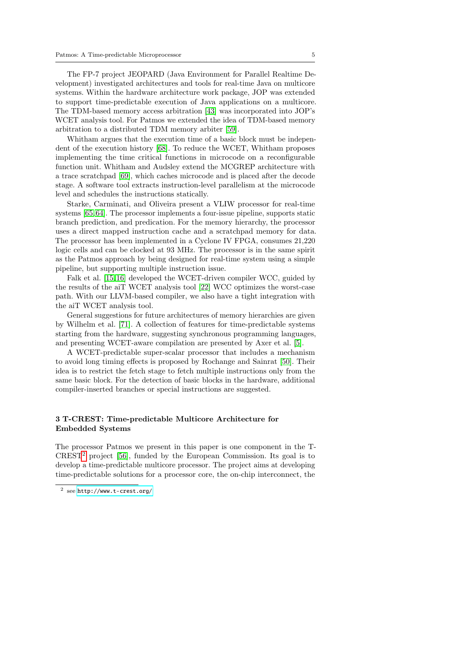The FP-7 project JEOPARD (Java Environment for Parallel Realtime Development) investigated architectures and tools for real-time Java on multicore systems. Within the hardware architecture work package, JOP was extended to support time-predictable execution of Java applications on a multicore. The TDM-based memory access arbitration [\[43\]](#page-32-7) was incorporated into JOP's WCET analysis tool. For Patmos we extended the idea of TDM-based memory arbitration to a distributed TDM memory arbiter [\[59\]](#page-33-7).

Whitham argues that the execution time of a basic block must be independent of the execution history [\[68\]](#page-33-8). To reduce the WCET, Whitham proposes implementing the time critical functions in microcode on a reconfigurable function unit. Whitham and Audsley extend the MCGREP architecture with a trace scratchpad [\[69\]](#page-33-9), which caches microcode and is placed after the decode stage. A software tool extracts instruction-level parallelism at the microcode level and schedules the instructions statically.

Starke, Carminati, and Oliveira present a VLIW processor for real-time systems [\[65,](#page-33-10)[64\]](#page-33-11). The processor implements a four-issue pipeline, supports static branch prediction, and predication. For the memory hierarchy, the processor uses a direct mapped instruction cache and a scratchpad memory for data. The processor has been implemented in a Cyclone IV FPGA, consumes 21,220 logic cells and can be clocked at 93 MHz. The processor is in the same spirit as the Patmos approach by being designed for real-time system using a simple pipeline, but supporting multiple instruction issue.

Falk et al. [\[15,](#page-30-4)[16\]](#page-30-5) developed the WCET-driven compiler WCC, guided by the results of the aiT WCET analysis tool [\[22\]](#page-31-4) WCC optimizes the worst-case path. With our LLVM-based compiler, we also have a tight integration with the aiT WCET analysis tool.

General suggestions for future architectures of memory hierarchies are given by Wilhelm et al. [\[71\]](#page-33-12). A collection of features for time-predictable systems starting from the hardware, suggesting synchronous programming languages, and presenting WCET-aware compilation are presented by Axer et al. [\[5\]](#page-30-6).

A WCET-predictable super-scalar processor that includes a mechanism to avoid long timing effects is proposed by Rochange and Sainrat [\[50\]](#page-32-8). Their idea is to restrict the fetch stage to fetch multiple instructions only from the same basic block. For the detection of basic blocks in the hardware, additional compiler-inserted branches or special instructions are suggested.

# <span id="page-4-0"></span>3 T-CREST: Time-predictable Multicore Architecture for Embedded Systems

The processor Patmos we present in this paper is one component in the T-CREST[2](#page-4-1) project [\[56\]](#page-32-9), funded by the European Commission. Its goal is to develop a time-predictable multicore processor. The project aims at developing time-predictable solutions for a processor core, the on-chip interconnect, the

<span id="page-4-1"></span> $^2$  see <http://www.t-crest.org/>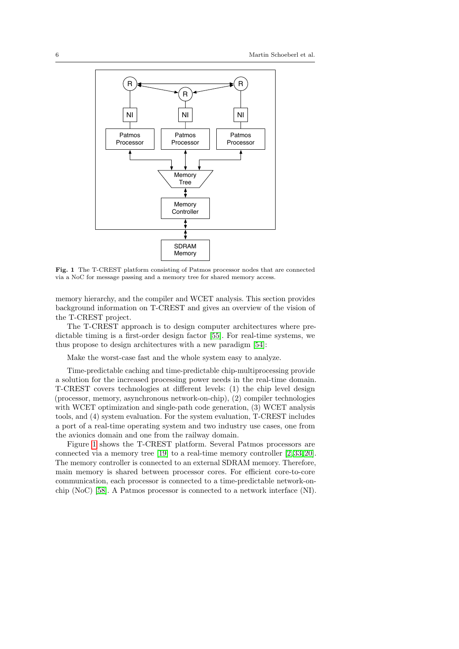

<span id="page-5-0"></span>Fig. 1 The T-CREST platform consisting of Patmos processor nodes that are connected via a NoC for message passing and a memory tree for shared memory access.

memory hierarchy, and the compiler and WCET analysis. This section provides background information on T-CREST and gives an overview of the vision of the T-CREST project.

The T-CREST approach is to design computer architectures where predictable timing is a first-order design factor [\[55\]](#page-32-10). For real-time systems, we thus propose to design architectures with a new paradigm [\[54\]](#page-32-11):

Make the worst-case fast and the whole system easy to analyze.

Time-predictable caching and time-predictable chip-multiprocessing provide a solution for the increased processing power needs in the real-time domain. T-CREST covers technologies at different levels: (1) the chip level design (processor, memory, asynchronous network-on-chip), (2) compiler technologies with WCET optimization and single-path code generation, (3) WCET analysis tools, and (4) system evaluation. For the system evaluation, T-CREST includes a port of a real-time operating system and two industry use cases, one from the avionics domain and one from the railway domain.

Figure [1](#page-5-0) shows the T-CREST platform. Several Patmos processors are connected via a memory tree [\[19\]](#page-30-7) to a real-time memory controller [\[2,](#page-30-8)[33,](#page-31-5)[20\]](#page-30-9). The memory controller is connected to an external SDRAM memory. Therefore, main memory is shared between processor cores. For efficient core-to-core communication, each processor is connected to a time-predictable network-onchip (NoC) [\[58\]](#page-33-13). A Patmos processor is connected to a network interface (NI).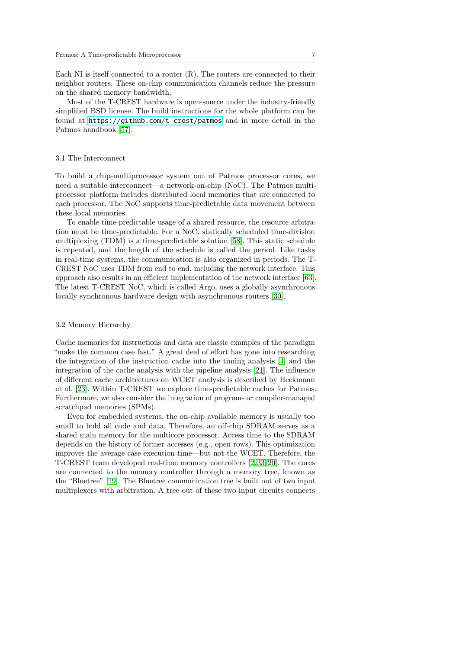Each NI is itself connected to a router  $(R)$ . The routers are connected to their neighbor routers. These on-chip communication channels reduce the pressure on the shared memory bandwidth.

Most of the T-CREST hardware is open-source under the industry-friendly simplified BSD license. The build instructions for the whole platform can be found at <https://github.com/t-crest/patmos> and in more detail in the Patmos handbook [\[57\]](#page-33-2).

### 3.1 The Interconnect

To build a chip-multiprocessor system out of Patmos processor cores, we need a suitable interconnect—a network-on-chip (NoC). The Patmos multiprocessor platform includes distributed local memories that are connected to each processor. The NoC supports time-predictable data movement between these local memories.

To enable time-predictable usage of a shared resource, the resource arbitration must be time-predictable. For a NoC, statically scheduled time-division multiplexing (TDM) is a time-predictable solution [\[58\]](#page-33-13). This static schedule is repeated, and the length of the schedule is called the period. Like tasks in real-time systems, the communication is also organized in periods. The T-CREST NoC uses TDM from end to end, including the network interface. This approach also results in an efficient implementation of the network interface [\[63\]](#page-33-14). The latest T-CREST NoC, which is called Argo, uses a globally asynchronous locally synchronous hardware design with asynchronous routers [\[30\]](#page-31-6).

#### 3.2 Memory Hierarchy

Cache memories for instructions and data are classic examples of the paradigm "make the common case fast." A great deal of effort has gone into researching the integration of the instruction cache into the timing analysis [\[4\]](#page-30-10) and the integration of the cache analysis with the pipeline analysis [\[21\]](#page-30-11). The influence of different cache architectures on WCET analysis is described by Heckmann et al. [\[23\]](#page-31-7). Within T-CREST we explore time-predictable caches for Patmos. Furthermore, we also consider the integration of program- or compiler-managed scratchpad memories (SPMs).

Even for embedded systems, the on-chip available memory is usually too small to hold all code and data. Therefore, an off-chip SDRAM serves as a shared main memory for the multicore processor. Access time to the SDRAM depends on the history of former accesses (e.g., open rows). This optimization improves the average case execution time—but not the WCET. Therefore, the T-CREST team developed real-time memory controllers [\[2,](#page-30-8)[33,](#page-31-5)[20\]](#page-30-9). The cores are connected to the memory controller through a memory tree, known as the "Bluetree" [\[19\]](#page-30-7). The Bluetree communication tree is built out of two input multiplexers with arbitration. A tree out of these two input circuits connects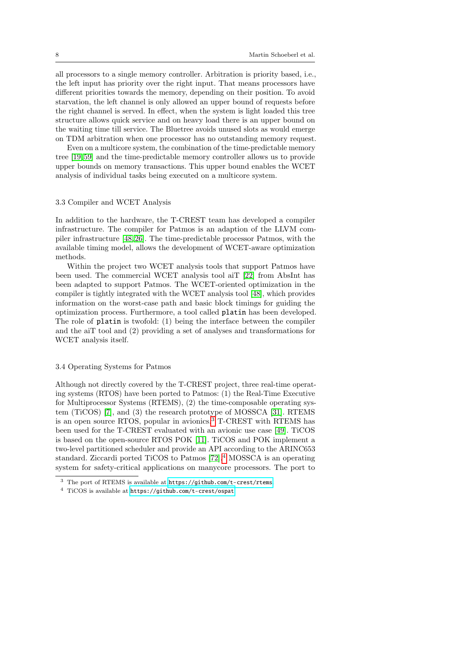all processors to a single memory controller. Arbitration is priority based, i.e., the left input has priority over the right input. That means processors have different priorities towards the memory, depending on their position. To avoid starvation, the left channel is only allowed an upper bound of requests before the right channel is served. In effect, when the system is light loaded this tree structure allows quick service and on heavy load there is an upper bound on the waiting time till service. The Bluetree avoids unused slots as would emerge on TDM arbitration when one processor has no outstanding memory request.

Even on a multicore system, the combination of the time-predictable memory tree [\[19,](#page-30-7)[59\]](#page-33-7) and the time-predictable memory controller allows us to provide upper bounds on memory transactions. This upper bound enables the WCET analysis of individual tasks being executed on a multicore system.

#### 3.3 Compiler and WCET Analysis

In addition to the hardware, the T-CREST team has developed a compiler infrastructure. The compiler for Patmos is an adaption of the LLVM compiler infrastructure [\[48,](#page-32-2)[26\]](#page-31-8). The time-predictable processor Patmos, with the available timing model, allows the development of WCET-aware optimization methods.

Within the project two WCET analysis tools that support Patmos have been used. The commercial WCET analysis tool aiT [\[22\]](#page-31-4) from AbsInt has been adapted to support Patmos. The WCET-oriented optimization in the compiler is tightly integrated with the WCET analysis tool [\[48\]](#page-32-2), which provides information on the worst-case path and basic block timings for guiding the optimization process. Furthermore, a tool called platin has been developed. The role of platin is twofold: (1) being the interface between the compiler and the aiT tool and (2) providing a set of analyses and transformations for WCET analysis itself.

#### 3.4 Operating Systems for Patmos

Although not directly covered by the T-CREST project, three real-time operating systems (RTOS) have been ported to Patmos: (1) the Real-Time Executive for Multiprocessor Systems (RTEMS), (2) the time-composable operating system (TiCOS) [\[7\]](#page-30-12), and (3) the research prototype of MOSSCA [\[31\]](#page-31-9). RTEMS is an open source RTOS, popular in avionics.[3](#page-7-0) T-CREST with RTEMS has been used for the T-CREST evaluated with an avionic use case [\[49\]](#page-32-12). TiCOS is based on the open-source RTOS POK [\[11\]](#page-30-13). TiCOS and POK implement a two-level partitioned scheduler and provide an API according to the ARINC653 standard. Ziccardi ported TiCOS to Patmos [\[72\]](#page-33-15).[4](#page-7-1) MOSSCA is an operating system for safety-critical applications on manycore processors. The port to

<span id="page-7-0"></span> $3$  The port of RTEMS is available at <https://github.com/t-crest/rtems>.

<span id="page-7-1"></span><sup>4</sup> TiCOS is available at <https://github.com/t-crest/ospat>.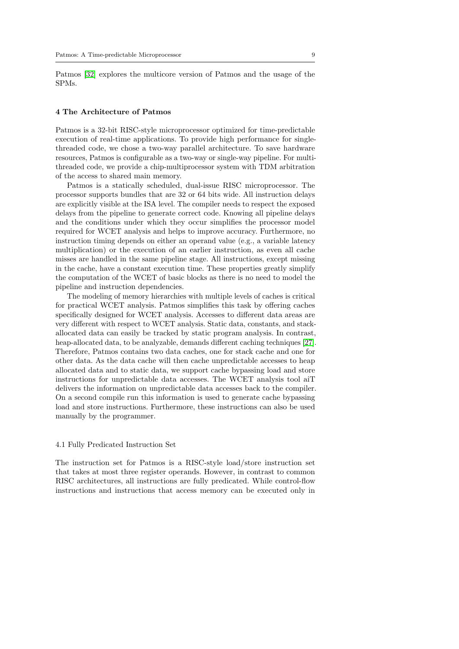Patmos [\[32\]](#page-31-10) explores the multicore version of Patmos and the usage of the SPMs.

#### <span id="page-8-0"></span>4 The Architecture of Patmos

Patmos is a 32-bit RISC-style microprocessor optimized for time-predictable execution of real-time applications. To provide high performance for singlethreaded code, we chose a two-way parallel architecture. To save hardware resources, Patmos is configurable as a two-way or single-way pipeline. For multithreaded code, we provide a chip-multiprocessor system with TDM arbitration of the access to shared main memory.

Patmos is a statically scheduled, dual-issue RISC microprocessor. The processor supports bundles that are 32 or 64 bits wide. All instruction delays are explicitly visible at the ISA level. The compiler needs to respect the exposed delays from the pipeline to generate correct code. Knowing all pipeline delays and the conditions under which they occur simplifies the processor model required for WCET analysis and helps to improve accuracy. Furthermore, no instruction timing depends on either an operand value (e.g., a variable latency multiplication) or the execution of an earlier instruction, as even all cache misses are handled in the same pipeline stage. All instructions, except missing in the cache, have a constant execution time. These properties greatly simplify the computation of the WCET of basic blocks as there is no need to model the pipeline and instruction dependencies.

The modeling of memory hierarchies with multiple levels of caches is critical for practical WCET analysis. Patmos simplifies this task by offering caches specifically designed for WCET analysis. Accesses to different data areas are very different with respect to WCET analysis. Static data, constants, and stackallocated data can easily be tracked by static program analysis. In contrast, heap-allocated data, to be analyzable, demands different caching techniques [\[27\]](#page-31-0). Therefore, Patmos contains two data caches, one for stack cache and one for other data. As the data cache will then cache unpredictable accesses to heap allocated data and to static data, we support cache bypassing load and store instructions for unpredictable data accesses. The WCET analysis tool aiT delivers the information on unpredictable data accesses back to the compiler. On a second compile run this information is used to generate cache bypassing load and store instructions. Furthermore, these instructions can also be used manually by the programmer.

#### 4.1 Fully Predicated Instruction Set

The instruction set for Patmos is a RISC-style load/store instruction set that takes at most three register operands. However, in contrast to common RISC architectures, all instructions are fully predicated. While control-flow instructions and instructions that access memory can be executed only in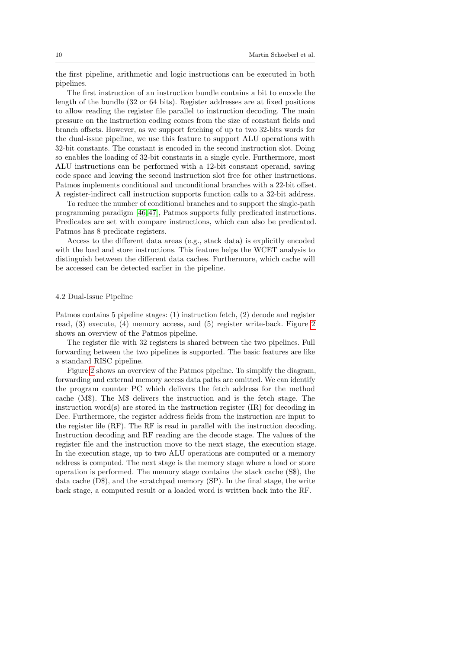the first pipeline, arithmetic and logic instructions can be executed in both pipelines.

The first instruction of an instruction bundle contains a bit to encode the length of the bundle (32 or 64 bits). Register addresses are at fixed positions to allow reading the register file parallel to instruction decoding. The main pressure on the instruction coding comes from the size of constant fields and branch offsets. However, as we support fetching of up to two 32-bits words for the dual-issue pipeline, we use this feature to support ALU operations with 32-bit constants. The constant is encoded in the second instruction slot. Doing so enables the loading of 32-bit constants in a single cycle. Furthermore, most ALU instructions can be performed with a 12-bit constant operand, saving code space and leaving the second instruction slot free for other instructions. Patmos implements conditional and unconditional branches with a 22-bit offset. A register-indirect call instruction supports function calls to a 32-bit address.

To reduce the number of conditional branches and to support the single-path programming paradigm [\[46,](#page-32-13)[47\]](#page-32-14), Patmos supports fully predicated instructions. Predicates are set with compare instructions, which can also be predicated. Patmos has 8 predicate registers.

Access to the different data areas (e.g., stack data) is explicitly encoded with the load and store instructions. This feature helps the WCET analysis to distinguish between the different data caches. Furthermore, which cache will be accessed can be detected earlier in the pipeline.

#### 4.2 Dual-Issue Pipeline

Patmos contains 5 pipeline stages: (1) instruction fetch, (2) decode and register read, (3) execute, (4) memory access, and (5) register write-back. Figure [2](#page-10-0) shows an overview of the Patmos pipeline.

The register file with 32 registers is shared between the two pipelines. Full forwarding between the two pipelines is supported. The basic features are like a standard RISC pipeline.

Figure [2](#page-10-0) shows an overview of the Patmos pipeline. To simplify the diagram, forwarding and external memory access data paths are omitted. We can identify the program counter PC which delivers the fetch address for the method cache (M\$). The M\$ delivers the instruction and is the fetch stage. The instruction word(s) are stored in the instruction register  $(IR)$  for decoding in Dec. Furthermore, the register address fields from the instruction are input to the register file (RF). The RF is read in parallel with the instruction decoding. Instruction decoding and RF reading are the decode stage. The values of the register file and the instruction move to the next stage, the execution stage. In the execution stage, up to two ALU operations are computed or a memory address is computed. The next stage is the memory stage where a load or store operation is performed. The memory stage contains the stack cache (S\$), the data cache  $(D<sup>§</sup>)$ , and the scratchpad memory  $(SP)$ . In the final stage, the write back stage, a computed result or a loaded word is written back into the RF.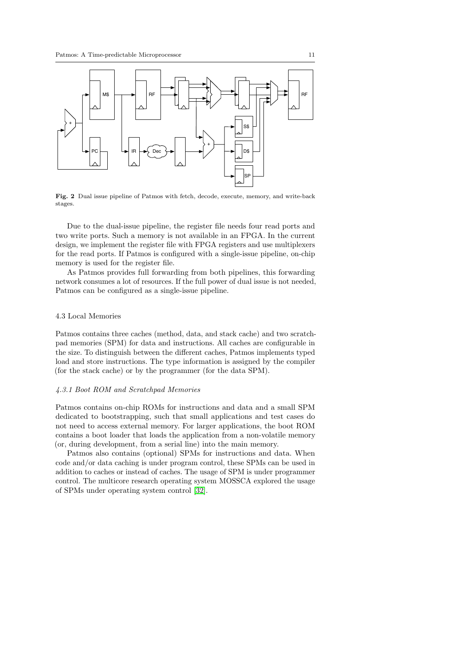

<span id="page-10-0"></span>Fig. 2 Dual issue pipeline of Patmos with fetch, decode, execute, memory, and write-back stages.

Due to the dual-issue pipeline, the register file needs four read ports and two write ports. Such a memory is not available in an FPGA. In the current design, we implement the register file with FPGA registers and use multiplexers for the read ports. If Patmos is configured with a single-issue pipeline, on-chip memory is used for the register file.

As Patmos provides full forwarding from both pipelines, this forwarding network consumes a lot of resources. If the full power of dual issue is not needed, Patmos can be configured as a single-issue pipeline.

# 4.3 Local Memories

Patmos contains three caches (method, data, and stack cache) and two scratchpad memories (SPM) for data and instructions. All caches are configurable in the size. To distinguish between the different caches, Patmos implements typed load and store instructions. The type information is assigned by the compiler (for the stack cache) or by the programmer (for the data SPM).

### 4.3.1 Boot ROM and Scratchpad Memories

Patmos contains on-chip ROMs for instructions and data and a small SPM dedicated to bootstrapping, such that small applications and test cases do not need to access external memory. For larger applications, the boot ROM contains a boot loader that loads the application from a non-volatile memory (or, during development, from a serial line) into the main memory.

Patmos also contains (optional) SPMs for instructions and data. When code and/or data caching is under program control, these SPMs can be used in addition to caches or instead of caches. The usage of SPM is under programmer control. The multicore research operating system MOSSCA explored the usage of SPMs under operating system control [\[32\]](#page-31-10).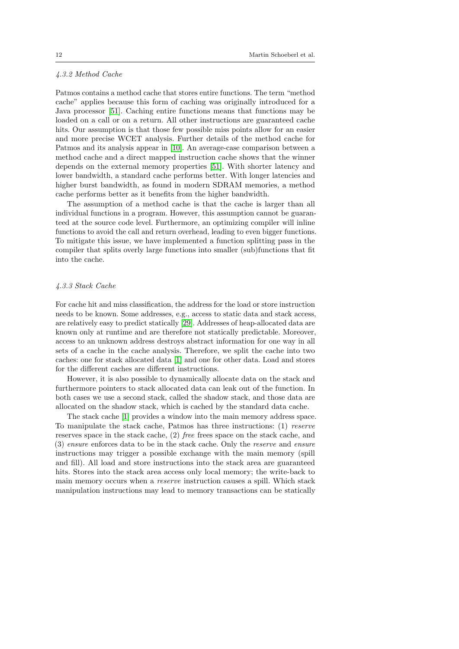## 4.3.2 Method Cache

Patmos contains a method cache that stores entire functions. The term "method cache" applies because this form of caching was originally introduced for a Java processor [\[51\]](#page-32-0). Caching entire functions means that functions may be loaded on a call or on a return. All other instructions are guaranteed cache hits. Our assumption is that those few possible miss points allow for an easier and more precise WCET analysis. Further details of the method cache for Patmos and its analysis appear in [\[10\]](#page-30-14). An average-case comparison between a method cache and a direct mapped instruction cache shows that the winner depends on the external memory properties [\[51\]](#page-32-0). With shorter latency and lower bandwidth, a standard cache performs better. With longer latencies and higher burst bandwidth, as found in modern SDRAM memories, a method cache performs better as it benefits from the higher bandwidth.

The assumption of a method cache is that the cache is larger than all individual functions in a program. However, this assumption cannot be guaranteed at the source code level. Furthermore, an optimizing compiler will inline functions to avoid the call and return overhead, leading to even bigger functions. To mitigate this issue, we have implemented a function splitting pass in the compiler that splits overly large functions into smaller (sub)functions that fit into the cache.

### 4.3.3 Stack Cache

For cache hit and miss classification, the address for the load or store instruction needs to be known. Some addresses, e.g., access to static data and stack access, are relatively easy to predict statically [\[29\]](#page-31-11). Addresses of heap-allocated data are known only at runtime and are therefore not statically predictable. Moreover, access to an unknown address destroys abstract information for one way in all sets of a cache in the cache analysis. Therefore, we split the cache into two caches: one for stack allocated data [\[1\]](#page-29-0) and one for other data. Load and stores for the different caches are different instructions.

However, it is also possible to dynamically allocate data on the stack and furthermore pointers to stack allocated data can leak out of the function. In both cases we use a second stack, called the shadow stack, and those data are allocated on the shadow stack, which is cached by the standard data cache.

The stack cache [\[1\]](#page-29-0) provides a window into the main memory address space. To manipulate the stack cache, Patmos has three instructions: (1) reserve reserves space in the stack cache, (2) free frees space on the stack cache, and (3) ensure enforces data to be in the stack cache. Only the reserve and ensure instructions may trigger a possible exchange with the main memory (spill and fill). All load and store instructions into the stack area are guaranteed hits. Stores into the stack area access only local memory; the write-back to main memory occurs when a reserve instruction causes a spill. Which stack manipulation instructions may lead to memory transactions can be statically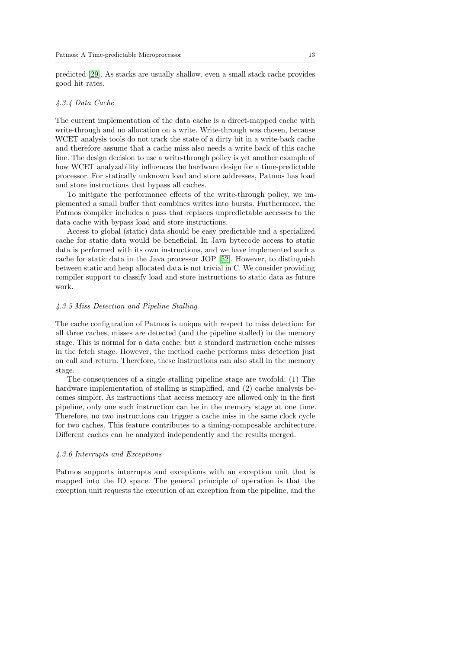predicted [\[29\]](#page-31-11). As stacks are usually shallow, even a small stack cache provides good hit rates.

#### 4.3.4 Data Cache

The current implementation of the data cache is a direct-mapped cache with write-through and no allocation on a write. Write-through was chosen, because WCET analysis tools do not track the state of a dirty bit in a write-back cache and therefore assume that a cache miss also needs a write back of this cache line. The design decision to use a write-through policy is yet another example of how WCET analyzability influences the hardware design for a time-predictable processor. For statically unknown load and store addresses, Patmos has load and store instructions that bypass all caches.

To mitigate the performance effects of the write-through policy, we implemented a small buffer that combines writes into bursts. Furthermore, the Patmos compiler includes a pass that replaces unpredictable accesses to the data cache with bypass load and store instructions.

Access to global (static) data should be easy predictable and a specialized cache for static data would be beneficial. In Java bytecode access to static data is performed with its own instructions, and we have implemented such a cache for static data in the Java processor JOP [\[52\]](#page-32-6). However, to distinguish between static and heap allocated data is not trivial in C. We consider providing compiler support to classify load and store instructions to static data as future work.

#### 4.3.5 Miss Detection and Pipeline Stalling

The cache configuration of Patmos is unique with respect to miss detection: for all three caches, misses are detected (and the pipeline stalled) in the memory stage. This is normal for a data cache, but a standard instruction cache misses in the fetch stage. However, the method cache performs miss detection just on call and return. Therefore, these instructions can also stall in the memory stage.

The consequences of a single stalling pipeline stage are twofold: (1) The hardware implementation of stalling is simplified, and (2) cache analysis becomes simpler. As instructions that access memory are allowed only in the first pipeline, only one such instruction can be in the memory stage at one time. Therefore, no two instructions can trigger a cache miss in the same clock cycle for two caches. This feature contributes to a timing-composable architecture. Different caches can be analyzed independently and the results merged.

#### 4.3.6 Interrupts and Exceptions

Patmos supports interrupts and exceptions with an exception unit that is mapped into the IO space. The general principle of operation is that the exception unit requests the execution of an exception from the pipeline, and the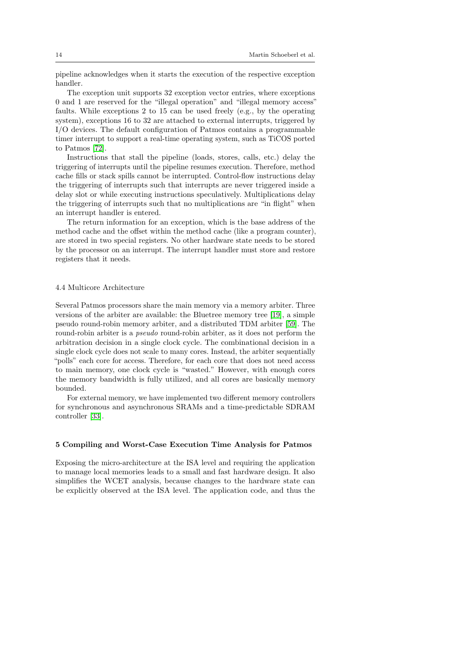pipeline acknowledges when it starts the execution of the respective exception handler.

The exception unit supports 32 exception vector entries, where exceptions 0 and 1 are reserved for the "illegal operation" and "illegal memory access" faults. While exceptions 2 to 15 can be used freely (e.g., by the operating system), exceptions 16 to 32 are attached to external interrupts, triggered by I/O devices. The default configuration of Patmos contains a programmable timer interrupt to support a real-time operating system, such as TiCOS ported to Patmos [\[72\]](#page-33-15).

Instructions that stall the pipeline (loads, stores, calls, etc.) delay the triggering of interrupts until the pipeline resumes execution. Therefore, method cache fills or stack spills cannot be interrupted. Control-flow instructions delay the triggering of interrupts such that interrupts are never triggered inside a delay slot or while executing instructions speculatively. Multiplications delay the triggering of interrupts such that no multiplications are "in flight" when an interrupt handler is entered.

The return information for an exception, which is the base address of the method cache and the offset within the method cache (like a program counter), are stored in two special registers. No other hardware state needs to be stored by the processor on an interrupt. The interrupt handler must store and restore registers that it needs.

#### 4.4 Multicore Architecture

Several Patmos processors share the main memory via a memory arbiter. Three versions of the arbiter are available: the Bluetree memory tree [\[19\]](#page-30-7), a simple pseudo round-robin memory arbiter, and a distributed TDM arbiter [\[59\]](#page-33-7). The round-robin arbiter is a *pseudo* round-robin arbiter, as it does not perform the arbitration decision in a single clock cycle. The combinational decision in a single clock cycle does not scale to many cores. Instead, the arbiter sequentially "polls" each core for access. Therefore, for each core that does not need access to main memory, one clock cycle is "wasted." However, with enough cores the memory bandwidth is fully utilized, and all cores are basically memory bounded.

For external memory, we have implemented two different memory controllers for synchronous and asynchronous SRAMs and a time-predictable SDRAM controller [\[33\]](#page-31-5).

### <span id="page-13-0"></span>5 Compiling and Worst-Case Execution Time Analysis for Patmos

Exposing the micro-architecture at the ISA level and requiring the application to manage local memories leads to a small and fast hardware design. It also simplifies the WCET analysis, because changes to the hardware state can be explicitly observed at the ISA level. The application code, and thus the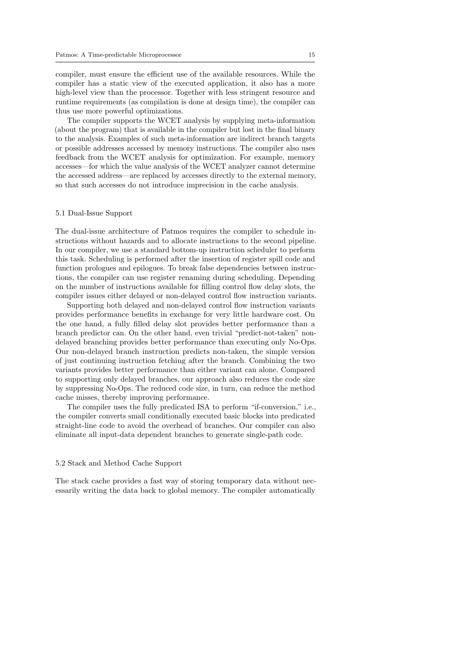compiler, must ensure the efficient use of the available resources. While the compiler has a static view of the executed application, it also has a more high-level view than the processor. Together with less stringent resource and runtime requirements (as compilation is done at design time), the compiler can thus use more powerful optimizations.

The compiler supports the WCET analysis by supplying meta-information (about the program) that is available in the compiler but lost in the final binary to the analysis. Examples of such meta-information are indirect branch targets or possible addresses accessed by memory instructions. The compiler also uses feedback from the WCET analysis for optimization. For example, memory accesses—for which the value analysis of the WCET analyzer cannot determine the accessed address—are replaced by accesses directly to the external memory, so that such accesses do not introduce imprecision in the cache analysis.

#### 5.1 Dual-Issue Support

The dual-issue architecture of Patmos requires the compiler to schedule instructions without hazards and to allocate instructions to the second pipeline. In our compiler, we use a standard bottom-up instruction scheduler to perform this task. Scheduling is performed after the insertion of register spill code and function prologues and epilogues. To break false dependencies between instructions, the compiler can use register renaming during scheduling. Depending on the number of instructions available for filling control flow delay slots, the compiler issues either delayed or non-delayed control flow instruction variants.

Supporting both delayed and non-delayed control flow instruction variants provides performance benefits in exchange for very little hardware cost. On the one hand, a fully filled delay slot provides better performance than a branch predictor can. On the other hand, even trivial "predict-not-taken" nondelayed branching provides better performance than executing only No-Ops. Our non-delayed branch instruction predicts non-taken, the simple version of just continuing instruction fetching after the branch. Combining the two variants provides better performance than either variant can alone. Compared to supporting only delayed branches, our approach also reduces the code size by suppressing No-Ops. The reduced code size, in turn, can reduce the method cache misses, thereby improving performance.

The compiler uses the fully predicated ISA to perform "if-conversion," i.e., the compiler converts small conditionally executed basic blocks into predicated straight-line code to avoid the overhead of branches. Our compiler can also eliminate all input-data dependent branches to generate single-path code.

### 5.2 Stack and Method Cache Support

The stack cache provides a fast way of storing temporary data without necessarily writing the data back to global memory. The compiler automatically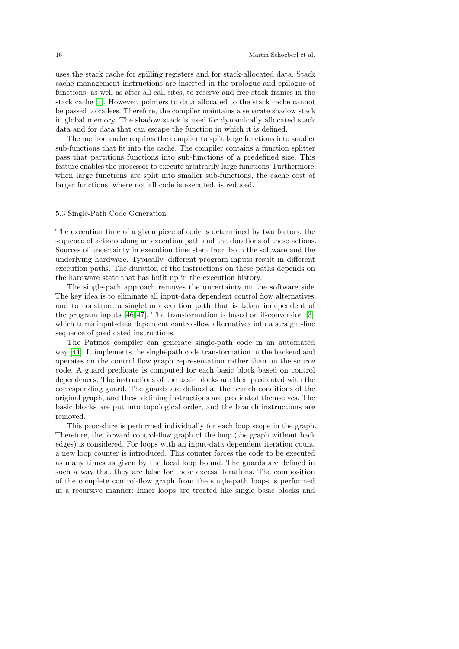uses the stack cache for spilling registers and for stack-allocated data. Stack cache management instructions are inserted in the prologue and epilogue of functions, as well as after all call sites, to reserve and free stack frames in the stack cache [\[1\]](#page-29-0). However, pointers to data allocated to the stack cache cannot be passed to callees. Therefore, the compiler maintains a separate shadow stack in global memory. The shadow stack is used for dynamically allocated stack data and for data that can escape the function in which it is defined.

The method cache requires the compiler to split large functions into smaller sub-functions that fit into the cache. The compiler contains a function splitter pass that partitions functions into sub-functions of a predefined size. This feature enables the processor to execute arbitrarily large functions. Furthermore, when large functions are split into smaller sub-functions, the cache cost of larger functions, where not all code is executed, is reduced.

### 5.3 Single-Path Code Generation

The execution time of a given piece of code is determined by two factors: the sequence of actions along an execution path and the durations of these actions. Sources of uncertainty in execution time stem from both the software and the underlying hardware. Typically, different program inputs result in different execution paths. The duration of the instructions on these paths depends on the hardware state that has built up in the execution history.

The single-path approach removes the uncertainty on the software side. The key idea is to eliminate all input-data dependent control flow alternatives, and to construct a singleton execution path that is taken independent of the program inputs [\[46,](#page-32-13)[47\]](#page-32-14). The transformation is based on if-conversion [\[3\]](#page-30-15), which turns input-data dependent control-flow alternatives into a straight-line sequence of predicated instructions.

The Patmos compiler can generate single-path code in an automated way [\[44\]](#page-32-15). It implements the single-path code transformation in the backend and operates on the control flow graph representation rather than on the source code. A guard predicate is computed for each basic block based on control dependences. The instructions of the basic blocks are then predicated with the corresponding guard. The guards are defined at the branch conditions of the original graph, and these defining instructions are predicated themselves. The basic blocks are put into topological order, and the branch instructions are removed.

This procedure is performed individually for each loop scope in the graph. Therefore, the forward control-flow graph of the loop (the graph without back edges) is considered. For loops with an input-data dependent iteration count, a new loop counter is introduced. This counter forces the code to be executed as many times as given by the local loop bound. The guards are defined in such a way that they are false for these excess iterations. The composition of the complete control-flow graph from the single-path loops is performed in a recursive manner: Inner loops are treated like single basic blocks and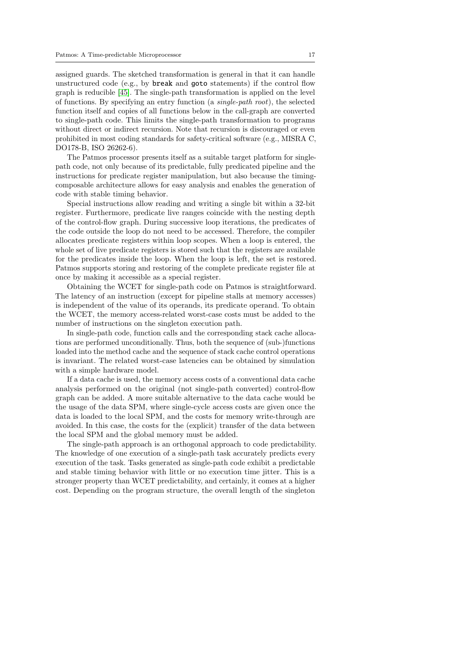assigned guards. The sketched transformation is general in that it can handle unstructured code (e.g., by break and goto statements) if the control flow graph is reducible [\[45\]](#page-32-16). The single-path transformation is applied on the level of functions. By specifying an entry function (a single-path root), the selected function itself and copies of all functions below in the call-graph are converted to single-path code. This limits the single-path transformation to programs without direct or indirect recursion. Note that recursion is discouraged or even prohibited in most coding standards for safety-critical software (e.g., MISRA C, DO178-B, ISO 26262-6).

The Patmos processor presents itself as a suitable target platform for singlepath code, not only because of its predictable, fully predicated pipeline and the instructions for predicate register manipulation, but also because the timingcomposable architecture allows for easy analysis and enables the generation of code with stable timing behavior.

Special instructions allow reading and writing a single bit within a 32-bit register. Furthermore, predicate live ranges coincide with the nesting depth of the control-flow graph. During successive loop iterations, the predicates of the code outside the loop do not need to be accessed. Therefore, the compiler allocates predicate registers within loop scopes. When a loop is entered, the whole set of live predicate registers is stored such that the registers are available for the predicates inside the loop. When the loop is left, the set is restored. Patmos supports storing and restoring of the complete predicate register file at once by making it accessible as a special register.

Obtaining the WCET for single-path code on Patmos is straightforward. The latency of an instruction (except for pipeline stalls at memory accesses) is independent of the value of its operands, its predicate operand. To obtain the WCET, the memory access-related worst-case costs must be added to the number of instructions on the singleton execution path.

In single-path code, function calls and the corresponding stack cache allocations are performed unconditionally. Thus, both the sequence of (sub-)functions loaded into the method cache and the sequence of stack cache control operations is invariant. The related worst-case latencies can be obtained by simulation with a simple hardware model.

If a data cache is used, the memory access costs of a conventional data cache analysis performed on the original (not single-path converted) control-flow graph can be added. A more suitable alternative to the data cache would be the usage of the data SPM, where single-cycle access costs are given once the data is loaded to the local SPM, and the costs for memory write-through are avoided. In this case, the costs for the (explicit) transfer of the data between the local SPM and the global memory must be added.

The single-path approach is an orthogonal approach to code predictability. The knowledge of one execution of a single-path task accurately predicts every execution of the task. Tasks generated as single-path code exhibit a predictable and stable timing behavior with little or no execution time jitter. This is a stronger property than WCET predictability, and certainly, it comes at a higher cost. Depending on the program structure, the overall length of the singleton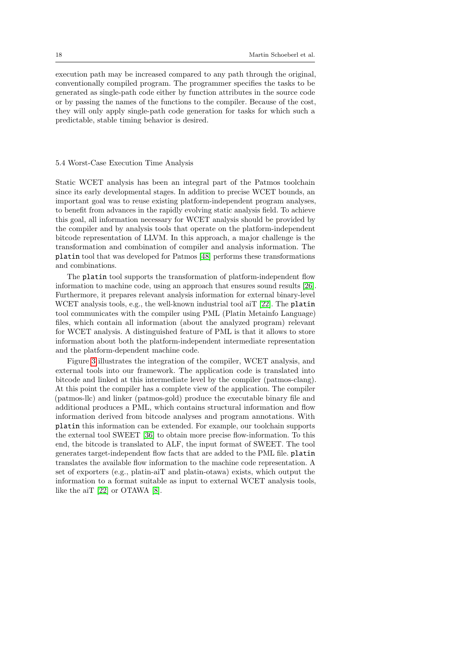execution path may be increased compared to any path through the original, conventionally compiled program. The programmer specifies the tasks to be generated as single-path code either by function attributes in the source code or by passing the names of the functions to the compiler. Because of the cost, they will only apply single-path code generation for tasks for which such a predictable, stable timing behavior is desired.

#### 5.4 Worst-Case Execution Time Analysis

Static WCET analysis has been an integral part of the Patmos toolchain since its early developmental stages. In addition to precise WCET bounds, an important goal was to reuse existing platform-independent program analyses, to benefit from advances in the rapidly evolving static analysis field. To achieve this goal, all information necessary for WCET analysis should be provided by the compiler and by analysis tools that operate on the platform-independent bitcode representation of LLVM. In this approach, a major challenge is the transformation and combination of compiler and analysis information. The platin tool that was developed for Patmos [\[48\]](#page-32-2) performs these transformations and combinations.

The **platin** tool supports the transformation of platform-independent flow information to machine code, using an approach that ensures sound results [\[26\]](#page-31-8). Furthermore, it prepares relevant analysis information for external binary-level WCET analysis tools, e.g., the well-known industrial tool aiT [\[22\]](#page-31-4). The platin tool communicates with the compiler using PML (Platin Metainfo Language) files, which contain all information (about the analyzed program) relevant for WCET analysis. A distinguished feature of PML is that it allows to store information about both the platform-independent intermediate representation and the platform-dependent machine code.

Figure [3](#page-18-0) illustrates the integration of the compiler, WCET analysis, and external tools into our framework. The application code is translated into bitcode and linked at this intermediate level by the compiler (patmos-clang). At this point the compiler has a complete view of the application. The compiler (patmos-llc) and linker (patmos-gold) produce the executable binary file and additional produces a PML, which contains structural information and flow information derived from bitcode analyses and program annotations. With platin this information can be extended. For example, our toolchain supports the external tool SWEET [\[36\]](#page-31-12) to obtain more precise flow-information. To this end, the bitcode is translated to ALF, the input format of SWEET. The tool generates target-independent flow facts that are added to the PML file. platin translates the available flow information to the machine code representation. A set of exporters (e.g., platin-aiT and platin-otawa) exists, which output the information to a format suitable as input to external WCET analysis tools, like the aiT [\[22\]](#page-31-4) or OTAWA [\[8\]](#page-30-16).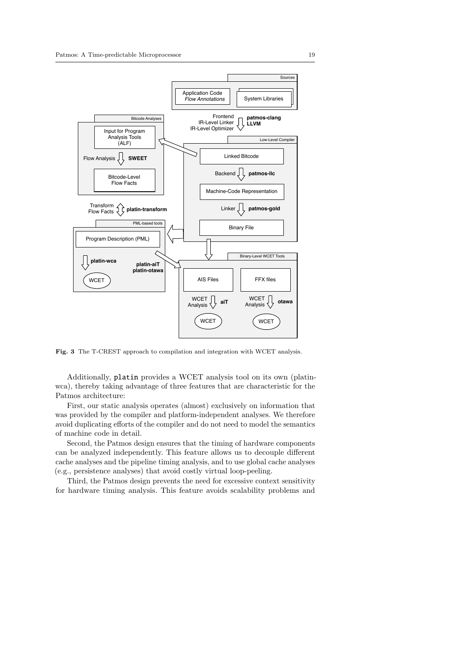

<span id="page-18-0"></span>Fig. 3 The T-CREST approach to compilation and integration with WCET analysis.

Additionally, platin provides a WCET analysis tool on its own (platinwca), thereby taking advantage of three features that are characteristic for the Patmos architecture:

First, our static analysis operates (almost) exclusively on information that was provided by the compiler and platform-independent analyses. We therefore avoid duplicating efforts of the compiler and do not need to model the semantics of machine code in detail.

Second, the Patmos design ensures that the timing of hardware components can be analyzed independently. This feature allows us to decouple different cache analyses and the pipeline timing analysis, and to use global cache analyses (e.g., persistence analyses) that avoid costly virtual loop-peeling.

Third, the Patmos design prevents the need for excessive context sensitivity for hardware timing analysis. This feature avoids scalability problems and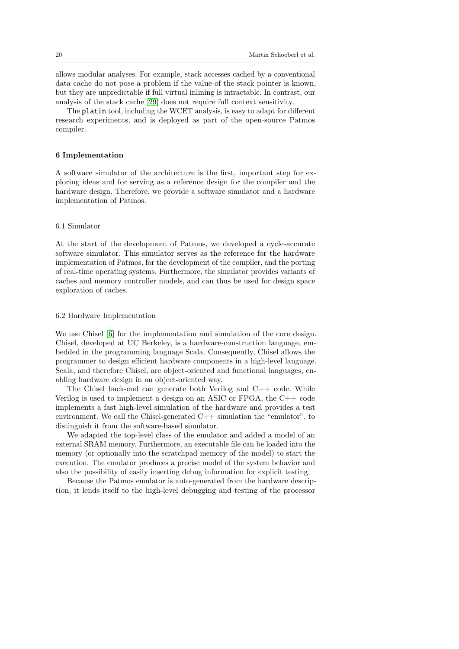allows modular analyses. For example, stack accesses cached by a conventional data cache do not pose a problem if the value of the stack pointer is known, but they are unpredictable if full virtual inlining is intractable. In contrast, our analysis of the stack cache [\[29\]](#page-31-11) does not require full context sensitivity.

The platin tool, including the WCET analysis, is easy to adapt for different research experiments, and is deployed as part of the open-source Patmos compiler.

### <span id="page-19-0"></span>6 Implementation

A software simulator of the architecture is the first, important step for exploring ideas and for serving as a reference design for the compiler and the hardware design. Therefore, we provide a software simulator and a hardware implementation of Patmos.

#### 6.1 Simulator

At the start of the development of Patmos, we developed a cycle-accurate software simulator. This simulator serves as the reference for the hardware implementation of Patmos, for the development of the compiler, and the porting of real-time operating systems. Furthermore, the simulator provides variants of caches and memory controller models, and can thus be used for design space exploration of caches.

### 6.2 Hardware Implementation

We use Chisel [\[6\]](#page-30-17) for the implementation and simulation of the core design. Chisel, developed at UC Berkeley, is a hardware-construction language, embedded in the programming language Scala. Consequently, Chisel allows the programmer to design efficient hardware components in a high-level language. Scala, and therefore Chisel, are object-oriented and functional languages, enabling hardware design in an object-oriented way.

The Chisel back-end can generate both Verilog and C++ code. While Verilog is used to implement a design on an ASIC or FPGA, the C++ code implements a fast high-level simulation of the hardware and provides a test environment. We call the Chisel-generated  $C_{++}$  simulation the "emulator", to distinguish it from the software-based simulator.

We adapted the top-level class of the emulator and added a model of an external SRAM memory. Furthermore, an executable file can be loaded into the memory (or optionally into the scratchpad memory of the model) to start the execution. The emulator produces a precise model of the system behavior and also the possibility of easily inserting debug information for explicit testing.

Because the Patmos emulator is auto-generated from the hardware description, it lends itself to the high-level debugging and testing of the processor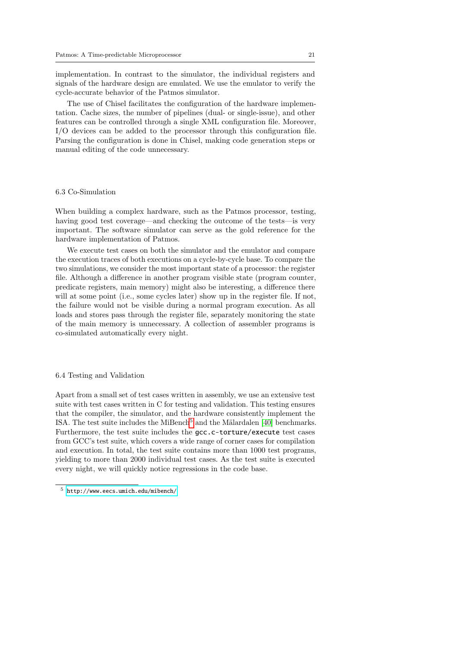implementation. In contrast to the simulator, the individual registers and signals of the hardware design are emulated. We use the emulator to verify the cycle-accurate behavior of the Patmos simulator.

The use of Chisel facilitates the configuration of the hardware implementation. Cache sizes, the number of pipelines (dual- or single-issue), and other features can be controlled through a single XML configuration file. Moreover, I/O devices can be added to the processor through this configuration file. Parsing the configuration is done in Chisel, making code generation steps or manual editing of the code unnecessary.

### 6.3 Co-Simulation

When building a complex hardware, such as the Patmos processor, testing, having good test coverage—and checking the outcome of the tests—is very important. The software simulator can serve as the gold reference for the hardware implementation of Patmos.

We execute test cases on both the simulator and the emulator and compare the execution traces of both executions on a cycle-by-cycle base. To compare the two simulations, we consider the most important state of a processor: the register file. Although a difference in another program visible state (program counter, predicate registers, main memory) might also be interesting, a difference there will at some point (i.e., some cycles later) show up in the register file. If not, the failure would not be visible during a normal program execution. As all loads and stores pass through the register file, separately monitoring the state of the main memory is unnecessary. A collection of assembler programs is co-simulated automatically every night.

#### 6.4 Testing and Validation

Apart from a small set of test cases written in assembly, we use an extensive test suite with test cases written in C for testing and validation. This testing ensures that the compiler, the simulator, and the hardware consistently implement the ISA. The test suite includes the MiBench<sup>[5](#page-20-0)</sup> and the Mälardalen [\[40\]](#page-32-17) benchmarks. Furthermore, the test suite includes the gcc.c-torture/execute test cases from GCC's test suite, which covers a wide range of corner cases for compilation and execution. In total, the test suite contains more than 1000 test programs, yielding to more than 2000 individual test cases. As the test suite is executed every night, we will quickly notice regressions in the code base.

<span id="page-20-0"></span><sup>5</sup> <http://www.eecs.umich.edu/mibench/>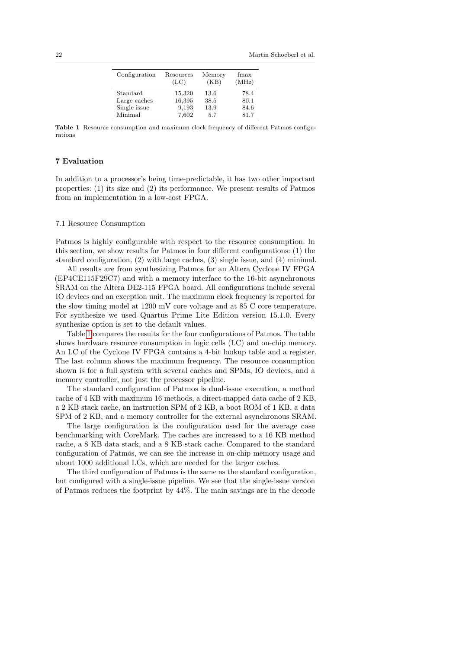| Configuration | Resources | Memory | fmax  |
|---------------|-----------|--------|-------|
|               | (LC)      | (KB)   | (MHz) |
| Standard      | 15,320    | 13.6   | 78.4  |
| Large caches  | 16,395    | 38.5   | 80.1  |
| Single issue  | 9,193     | 13.9   | 84.6  |
| Minimal       | 7,602     | 5.7    | 81.7  |

<span id="page-21-1"></span>Table 1 Resource consumption and maximum clock frequency of different Patmos configurations

#### <span id="page-21-0"></span>7 Evaluation

In addition to a processor's being time-predictable, it has two other important properties: (1) its size and (2) its performance. We present results of Patmos from an implementation in a low-cost FPGA.

### 7.1 Resource Consumption

Patmos is highly configurable with respect to the resource consumption. In this section, we show results for Patmos in four different configurations: (1) the standard configuration, (2) with large caches, (3) single issue, and (4) minimal.

All results are from synthesizing Patmos for an Altera Cyclone IV FPGA (EP4CE115F29C7) and with a memory interface to the 16-bit asynchronous SRAM on the Altera DE2-115 FPGA board. All configurations include several IO devices and an exception unit. The maximum clock frequency is reported for the slow timing model at 1200 mV core voltage and at 85 C core temperature. For synthesize we used Quartus Prime Lite Edition version 15.1.0. Every synthesize option is set to the default values.

Table [1](#page-21-1) compares the results for the four configurations of Patmos. The table shows hardware resource consumption in logic cells (LC) and on-chip memory. An LC of the Cyclone IV FPGA contains a 4-bit lookup table and a register. The last column shows the maximum frequency. The resource consumption shown is for a full system with several caches and SPMs, IO devices, and a memory controller, not just the processor pipeline.

The standard configuration of Patmos is dual-issue execution, a method cache of 4 KB with maximum 16 methods, a direct-mapped data cache of 2 KB, a 2 KB stack cache, an instruction SPM of 2 KB, a boot ROM of 1 KB, a data SPM of 2 KB, and a memory controller for the external asynchronous SRAM.

The large configuration is the configuration used for the average case benchmarking with CoreMark. The caches are increased to a 16 KB method cache, a 8 KB data stack, and a 8 KB stack cache. Compared to the standard configuration of Patmos, we can see the increase in on-chip memory usage and about 1000 additional LCs, which are needed for the larger caches.

The third configuration of Patmos is the same as the standard configuration, but configured with a single-issue pipeline. We see that the single-issue version of Patmos reduces the footprint by 44%. The main savings are in the decode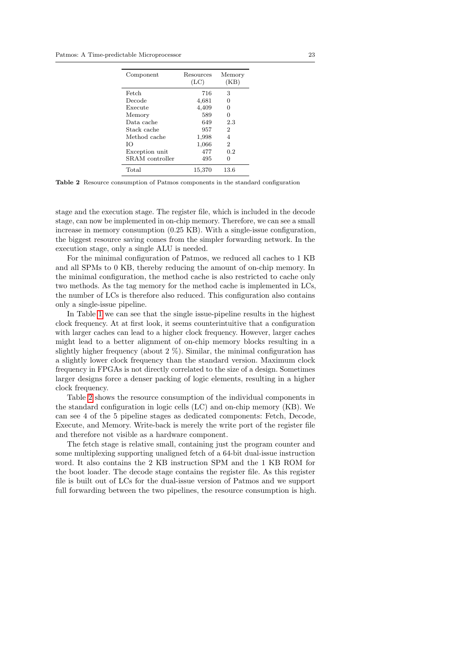| Component       | Resources<br>(LC) | Memory<br>(KB) |
|-----------------|-------------------|----------------|
| Fetch           | 716               | 3              |
| Decode          | 4,681             | 0              |
| Execute         | 4,409             | 0              |
| Memory          | 589               | 0              |
| Data cache      | 649               | 2.3            |
| Stack cache     | 957               | 2              |
| Method cache    | 1,998             | 4              |
| ĪО              | 1,066             | 2              |
| Exception unit  | 477               | 0.2            |
| SRAM controller | 495               | 0              |
| Total           | 15,370            | 13.6           |

<span id="page-22-0"></span>Table 2 Resource consumption of Patmos components in the standard configuration

stage and the execution stage. The register file, which is included in the decode stage, can now be implemented in on-chip memory. Therefore, we can see a small increase in memory consumption (0.25 KB). With a single-issue configuration, the biggest resource saving comes from the simpler forwarding network. In the execution stage, only a single ALU is needed.

For the minimal configuration of Patmos, we reduced all caches to 1 KB and all SPMs to 0 KB, thereby reducing the amount of on-chip memory. In the minimal configuration, the method cache is also restricted to cache only two methods. As the tag memory for the method cache is implemented in LCs, the number of LCs is therefore also reduced. This configuration also contains only a single-issue pipeline.

In Table [1](#page-21-1) we can see that the single issue-pipeline results in the highest clock frequency. At at first look, it seems counterintuitive that a configuration with larger caches can lead to a higher clock frequency. However, larger caches might lead to a better alignment of on-chip memory blocks resulting in a slightly higher frequency (about 2 %). Similar, the minimal configuration has a slightly lower clock frequency than the standard version. Maximum clock frequency in FPGAs is not directly correlated to the size of a design. Sometimes larger designs force a denser packing of logic elements, resulting in a higher clock frequency.

Table [2](#page-22-0) shows the resource consumption of the individual components in the standard configuration in logic cells (LC) and on-chip memory (KB). We can see 4 of the 5 pipeline stages as dedicated components: Fetch, Decode, Execute, and Memory. Write-back is merely the write port of the register file and therefore not visible as a hardware component.

The fetch stage is relative small, containing just the program counter and some multiplexing supporting unaligned fetch of a 64-bit dual-issue instruction word. It also contains the 2 KB instruction SPM and the 1 KB ROM for the boot loader. The decode stage contains the register file. As this register file is built out of LCs for the dual-issue version of Patmos and we support full forwarding between the two pipelines, the resource consumption is high.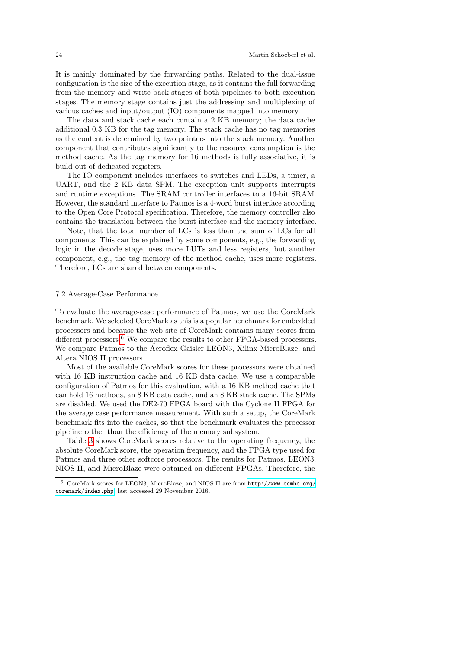It is mainly dominated by the forwarding paths. Related to the dual-issue configuration is the size of the execution stage, as it contains the full forwarding from the memory and write back-stages of both pipelines to both execution stages. The memory stage contains just the addressing and multiplexing of various caches and input/output (IO) components mapped into memory.

The data and stack cache each contain a 2 KB memory; the data cache additional 0.3 KB for the tag memory. The stack cache has no tag memories as the content is determined by two pointers into the stack memory. Another component that contributes significantly to the resource consumption is the method cache. As the tag memory for 16 methods is fully associative, it is build out of dedicated registers.

The IO component includes interfaces to switches and LEDs, a timer, a UART, and the 2 KB data SPM. The exception unit supports interrupts and runtime exceptions. The SRAM controller interfaces to a 16-bit SRAM. However, the standard interface to Patmos is a 4-word burst interface according to the Open Core Protocol specification. Therefore, the memory controller also contains the translation between the burst interface and the memory interface.

Note, that the total number of LCs is less than the sum of LCs for all components. This can be explained by some components, e.g., the forwarding logic in the decode stage, uses more LUTs and less registers, but another component, e.g., the tag memory of the method cache, uses more registers. Therefore, LCs are shared between components.

#### 7.2 Average-Case Performance

To evaluate the average-case performance of Patmos, we use the CoreMark benchmark. We selected CoreMark as this is a popular benchmark for embedded processors and because the web site of CoreMark contains many scores from different processors.<sup>[6](#page-23-0)</sup> We compare the results to other FPGA-based processors. We compare Patmos to the Aeroflex Gaisler LEON3, Xilinx MicroBlaze, and Altera NIOS II processors.

Most of the available CoreMark scores for these processors were obtained with 16 KB instruction cache and 16 KB data cache. We use a comparable configuration of Patmos for this evaluation, with a 16 KB method cache that can hold 16 methods, an 8 KB data cache, and an 8 KB stack cache. The SPMs are disabled. We used the DE2-70 FPGA board with the Cyclone II FPGA for the average case performance measurement. With such a setup, the CoreMark benchmark fits into the caches, so that the benchmark evaluates the processor pipeline rather than the efficiency of the memory subsystem.

Table [3](#page-24-0) shows CoreMark scores relative to the operating frequency, the absolute CoreMark score, the operation frequency, and the FPGA type used for Patmos and three other softcore processors. The results for Patmos, LEON3, NIOS II, and MicroBlaze were obtained on different FPGAs. Therefore, the

<span id="page-23-0"></span><sup>6</sup> CoreMark scores for LEON3, MicroBlaze, and NIOS II are from [http://www.eembc.org/](http://www.eembc.org/coremark/index.php) [coremark/index.php](http://www.eembc.org/coremark/index.php), last accessed 29 November 2016.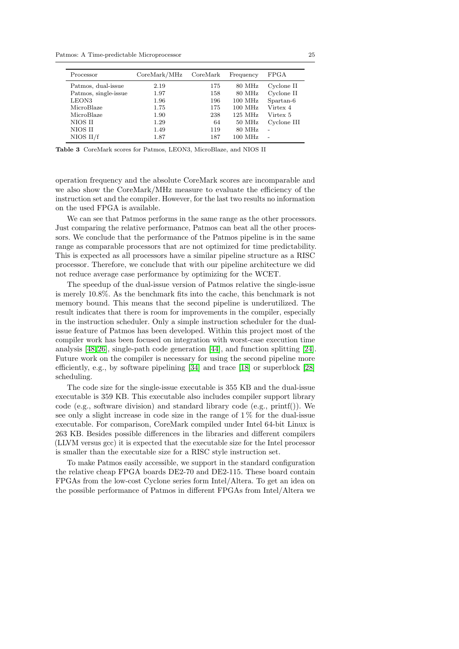Patmos: A Time-predictable Microprocessor 25

| Processor            | CoreMark/MHz | CoreMark | Frequency | FPGA           |
|----------------------|--------------|----------|-----------|----------------|
| Patmos, dual-issue   | 2.19         | 175      | 80 MHz    | Cyclone II     |
| Patmos, single-issue | 1.97         | 158      | 80 MHz    | Cyclone II     |
| LEON3                | 1.96         | 196      | $100$ MHz | Spartan-6      |
| MicroBlaze           | 1.75         | 175      | $100$ MHz | Virtex 4       |
| MicroBlaze           | 1.90         | 238      | $125$ MHz | Virtex 5       |
| NIOS II              | 1.29         | 64       | $50$ MHz  | Cyclone III    |
| NIOS II              | 1.49         | 119      | 80 MHz    | $\overline{a}$ |
| NIOS II/f            | 1.87         | 187      | $100$ MHz |                |
|                      |              |          |           |                |

<span id="page-24-0"></span>Table 3 CoreMark scores for Patmos, LEON3, MicroBlaze, and NIOS II

operation frequency and the absolute CoreMark scores are incomparable and we also show the CoreMark/MHz measure to evaluate the efficiency of the instruction set and the compiler. However, for the last two results no information on the used FPGA is available.

We can see that Patmos performs in the same range as the other processors. Just comparing the relative performance, Patmos can beat all the other processors. We conclude that the performance of the Patmos pipeline is in the same range as comparable processors that are not optimized for time predictability. This is expected as all processors have a similar pipeline structure as a RISC processor. Therefore, we conclude that with our pipeline architecture we did not reduce average case performance by optimizing for the WCET.

The speedup of the dual-issue version of Patmos relative the single-issue is merely 10.8%. As the benchmark fits into the cache, this benchmark is not memory bound. This means that the second pipeline is underutilized. The result indicates that there is room for improvements in the compiler, especially in the instruction scheduler. Only a simple instruction scheduler for the dualissue feature of Patmos has been developed. Within this project most of the compiler work has been focused on integration with worst-case execution time analysis [\[48,](#page-32-2)[26\]](#page-31-8), single-path code generation [\[44\]](#page-32-15), and function splitting [\[24\]](#page-31-13). Future work on the compiler is necessary for using the second pipeline more efficiently, e.g., by software pipelining [\[34\]](#page-31-14) and trace [\[18\]](#page-30-18) or superblock [\[28\]](#page-31-15) scheduling.

The code size for the single-issue executable is 355 KB and the dual-issue executable is 359 KB. This executable also includes compiler support library code (e.g., software division) and standard library code (e.g., printf()). We see only a slight increase in code size in the range of  $1\%$  for the dual-issue executable. For comparison, CoreMark compiled under Intel 64-bit Linux is 263 KB. Besides possible differences in the libraries and different compilers (LLVM versus gcc) it is expected that the executable size for the Intel processor is smaller than the executable size for a RISC style instruction set.

To make Patmos easily accessible, we support in the standard configuration the relative cheap FPGA boards DE2-70 and DE2-115. These board contain FPGAs from the low-cost Cyclone series form Intel/Altera. To get an idea on the possible performance of Patmos in different FPGAs from Intel/Altera we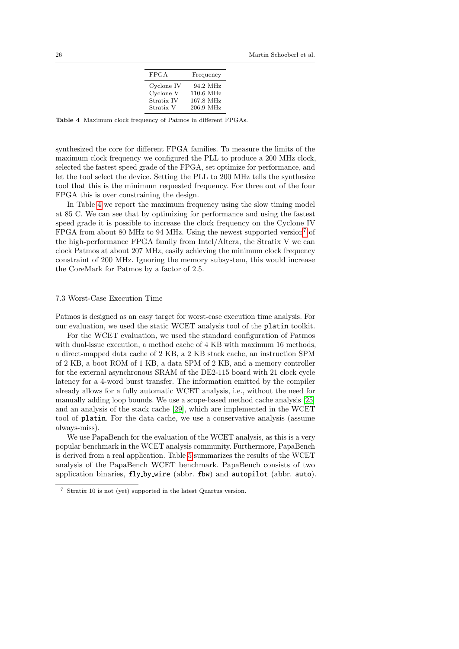| <b>FPGA</b>                                        | Frequency                                       |
|----------------------------------------------------|-------------------------------------------------|
| Cyclone IV<br>Cyclone V<br>Stratix IV<br>Stratix V | 94.2 MHz<br>110.6 MHz<br>167.8 MHz<br>206.9 MHz |

<span id="page-25-0"></span>Table 4 Maximum clock frequency of Patmos in different FPGAs.

synthesized the core for different FPGA families. To measure the limits of the maximum clock frequency we configured the PLL to produce a 200 MHz clock, selected the fastest speed grade of the FPGA, set optimize for performance, and let the tool select the device. Setting the PLL to 200 MHz tells the synthesize tool that this is the minimum requested frequency. For three out of the four FPGA this is over constraining the design.

In Table [4](#page-25-0) we report the maximum frequency using the slow timing model at 85 C. We can see that by optimizing for performance and using the fastest speed grade it is possible to increase the clock frequency on the Cyclone IV FPGA from about 80 MHz to 94 MHz. Using the newest supported version<sup>[7](#page-25-1)</sup> of the high-performance FPGA family from Intel/Altera, the Stratix V we can clock Patmos at about 207 MHz, easily achieving the minimum clock frequency constraint of 200 MHz. Ignoring the memory subsystem, this would increase the CoreMark for Patmos by a factor of 2.5.

## <span id="page-25-2"></span>7.3 Worst-Case Execution Time

Patmos is designed as an easy target for worst-case execution time analysis. For our evaluation, we used the static WCET analysis tool of the platin toolkit.

For the WCET evaluation, we used the standard configuration of Patmos with dual-issue execution, a method cache of 4 KB with maximum 16 methods, a direct-mapped data cache of 2 KB, a 2 KB stack cache, an instruction SPM of 2 KB, a boot ROM of 1 KB, a data SPM of 2 KB, and a memory controller for the external asynchronous SRAM of the DE2-115 board with 21 clock cycle latency for a 4-word burst transfer. The information emitted by the compiler already allows for a fully automatic WCET analysis, i.e., without the need for manually adding loop bounds. We use a scope-based method cache analysis [\[25\]](#page-31-16) and an analysis of the stack cache [\[29\]](#page-31-11), which are implemented in the WCET tool of platin. For the data cache, we use a conservative analysis (assume always-miss).

We use PapaBench for the evaluation of the WCET analysis, as this is a very popular benchmark in the WCET analysis community. Furthermore, PapaBench is derived from a real application. Table [5](#page-26-0) summarizes the results of the WCET analysis of the PapaBench WCET benchmark. PapaBench consists of two application binaries, fly by wire (abbr. fbw) and autopilot (abbr. auto).

<span id="page-25-1"></span>Stratix 10 is not (yet) supported in the latest Quartus version.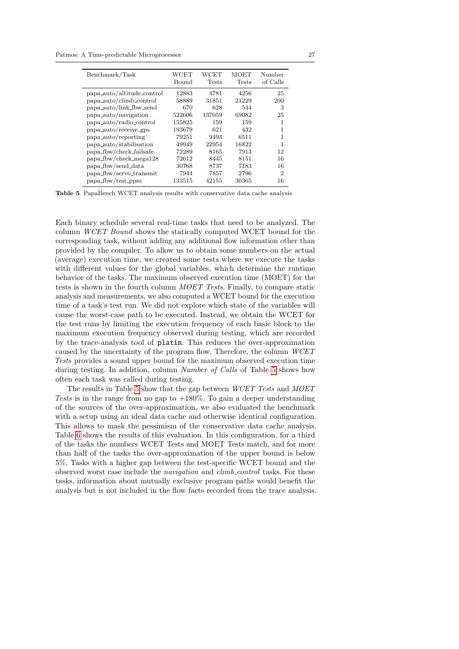Patmos: A Time-predictable Microprocessor 27

| Benchmark/Task             | WCET<br>Bound | WCET<br><b>Tests</b> | MOET<br><b>Tests</b> | Number<br>of Calls |
|----------------------------|---------------|----------------------|----------------------|--------------------|
| papa_auto/altitude_control | 12883         | 4781                 | 4256                 | 25                 |
| papa_auto/climb_control    | 58889         | 31851                | 21229                | 200                |
| papa_auto/link_fbw_send    | 670           | 628                  | 544                  | 3                  |
| papa_auto/navigation       | 522606        | 137059               | 69082                | 25                 |
| papa_auto/radio_control    | 155825        | 159                  | 159                  | 1                  |
| papa_auto/receive_gps      | 193679        | 621                  | 432                  | 1                  |
| papa_auto/reporting        | 79251         | 9493                 | 6511                 |                    |
| papa_auto/stabilisation    | 49949         | 22954                | 16822                | 1                  |
| papa_fbw/check_failsafe    | 72289         | 8165                 | 7913                 | 12                 |
| papa_fbw/check_mega128     | 72612         | 8445                 | 8151                 | 16                 |
| papa_fbw/send_data         | 30768         | 8737                 | 7183                 | 16                 |
| papa_fbw/servo_transmit    | 7944          | 7857                 | 2796                 | $\overline{2}$     |
| papa_fbw/test_ppm          | 133515        | 42155                | 30365                | 16                 |

<span id="page-26-0"></span>Table 5 PapaBench WCET analysis results with conservative data cache analysis

Each binary schedule several real-time tasks that need to be analyzed. The column WCET Bound shows the statically computed WCET bound for the corresponding task, without adding any additional flow information other than provided by the compiler. To allow us to obtain some numbers on the actual (average) execution time, we created some tests where we execute the tasks with different values for the global variables, which determine the runtime behavior of the tasks. The maximum observed execution time (MOET) for the tests is shown in the fourth column MOET Tests. Finally, to compare static analysis and measurements, we also computed a WCET bound for the execution time of a task's test run. We did not explore which state of the variables will cause the worst-case path to be executed. Instead, we obtain the WCET for the test runs by limiting the execution frequency of each basic block to the maximum execution frequency observed during testing, which are recorded by the trace-analysis tool of platin. This reduces the over-approximation caused by the uncertainty of the program flow. Therefore, the column WCET Tests provides a sound upper bound for the maximum observed execution time during testing. In addition, column Number of Calls of Table [5](#page-26-0) shows how often each task was called during testing.

The results in Table [5](#page-26-0) show that the gap between WCET Tests and MOET Tests is in the range from no gap to  $+180\%$ . To gain a deeper understanding of the sources of the over-approximation, we also evaluated the benchmark with a setup using an ideal data cache and otherwise identical configuration. This allows to mask the pessimism of the conservative data cache analysis. Table [6](#page-27-0) shows the results of this evaluation. In this configuration, for a third of the tasks the numbers WCET Tests and MOET Tests match, and for more than half of the tasks the over-approximation of the upper bound is below 5%. Tasks with a higher gap between the test-specific WCET bound and the observed worst case include the navigation and climb control tasks. For these tasks, information about mutually exclusive program paths would benefit the analysis but is not included in the flow facts recorded from the trace analysis.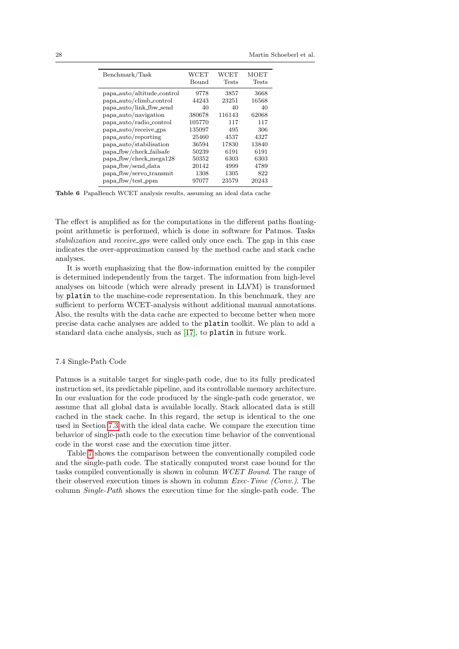28 Martin Schoeberl et al.

| Benchmark/Task             | WCET<br>Bound | WCET<br>Tests | <b>MOET</b><br>Tests |
|----------------------------|---------------|---------------|----------------------|
| papa_auto/altitude_control | 9778          | 3857          | 3668                 |
| papa_auto/climb_control    | 44243         | 23251         | 16568                |
| papa_auto/link_fbw_send    | 40            | 40            | 40                   |
| papa_auto/navigation       | 380678        | 116143        | 62068                |
| papa_auto/radio_control    | 105770        | 117           | 117                  |
| papa_auto/receive_gps      | 135097        | 495           | 306                  |
| papa_auto/reporting        | 25460         | 4537          | 4327                 |
| papa_auto/stabilisation    | 36594         | 17830         | 13840                |
| papa_fbw/check_failsafe    | 50239         | 6191          | 6191                 |
| papa_fbw/check_mega128     | 50352         | 6303          | 6303                 |
| papa_fbw/send_data         | 20142         | 4999          | 4789                 |
| papa_fbw/servo_transmit    | 1308          | 1305          | 822                  |
| papa_fbw/test_ppm          | 97077         | 23579         | 20243                |

<span id="page-27-0"></span>Table 6 PapaBench WCET analysis results, assuming an ideal data cache

The effect is amplified as for the computations in the different paths floatingpoint arithmetic is performed, which is done in software for Patmos. Tasks stabilization and receive gps were called only once each. The gap in this case indicates the over-approximation caused by the method cache and stack cache analyses.

It is worth emphasizing that the flow-information emitted by the compiler is determined independently from the target. The information from high-level analyses on bitcode (which were already present in LLVM) is transformed by platin to the machine-code representation. In this benchmark, they are sufficient to perform WCET-analysis without additional manual annotations. Also, the results with the data cache are expected to become better when more precise data cache analyses are added to the platin toolkit. We plan to add a standard data cache analysis, such as [\[17\]](#page-30-19), to platin in future work.

#### 7.4 Single-Path Code

Patmos is a suitable target for single-path code, due to its fully predicated instruction set, its predictable pipeline, and its controllable memory architecture. In our evaluation for the code produced by the single-path code generator, we assume that all global data is available locally. Stack allocated data is still cached in the stack cache. In this regard, the setup is identical to the one used in Section [7.3](#page-25-2) with the ideal data cache. We compare the execution time behavior of single-path code to the execution time behavior of the conventional code in the worst case and the execution time jitter.

Table [7](#page-28-0) shows the comparison between the conventionally compiled code and the single-path code. The statically computed worst case bound for the tasks compiled conventionally is shown in column WCET Bound. The range of their observed execution times is shown in column Exec-Time (Conv.). The column Single-Path shows the execution time for the single-path code. The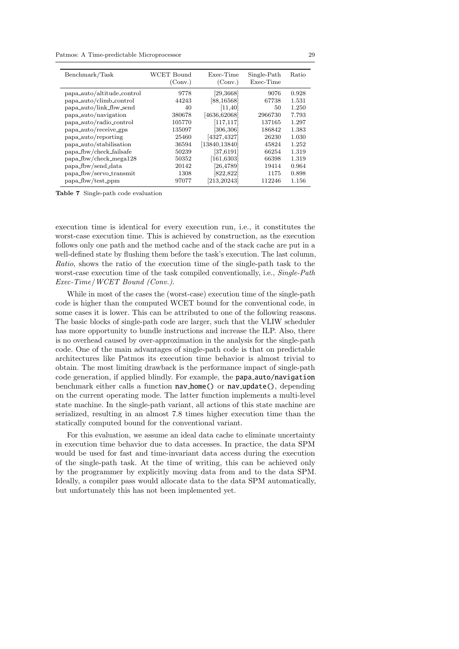Patmos: A Time-predictable Microprocessor 29

| Benchmark/Task             | WCET Bound<br>(Conv.) | Exec-Time<br>(Conv.) | Single-Path<br>Exec-Time | Ratio |
|----------------------------|-----------------------|----------------------|--------------------------|-------|
| papa_auto/altitude_control | 9778                  | [29, 3668]           | 9076                     | 0.928 |
| papa_auto/climb_control    | 44243                 | [88, 16568]          | 67738                    | 1.531 |
| papa_auto/link_fbw_send    | 40                    | [11, 40]             | 50                       | 1.250 |
| papa_auto/navigation       | 380678                | [4636, 62068]        | 2966730                  | 7.793 |
| papa_auto/radio_control    | 105770                | [117, 117]           | 137165                   | 1.297 |
| papa_auto/receive_gps      | 135097                | [306, 306]           | 186842                   | 1.383 |
| papa_auto/reporting        | 25460                 | [4327, 4327]         | 26230                    | 1.030 |
| papa_auto/stabilisation    | 36594                 | [13840, 13840]       | 45824                    | 1.252 |
| papa_fbw/check_failsafe    | 50239                 | [37,6191]            | 66254                    | 1.319 |
| papa_fbw/check_mega128     | 50352                 | [161, 6303]          | 66398                    | 1.319 |
| papa_fbw/send_data         | 20142                 | [26, 4789]           | 19414                    | 0.964 |
| papa_fbw/servo_transmit    | 1308                  | [822, 822]           | 1175                     | 0.898 |
| papa_fbw/test_ppm          | 97077                 | [213, 20243]         | 112246                   | 1.156 |

<span id="page-28-0"></span>Table 7 Single-path code evaluation

execution time is identical for every execution run, i.e., it constitutes the worst-case execution time. This is achieved by construction, as the execution follows only one path and the method cache and of the stack cache are put in a well-defined state by flushing them before the task's execution. The last column, Ratio, shows the ratio of the execution time of the single-path task to the worst-case execution time of the task compiled conventionally, i.e., *Single-Path* Exec-Time/WCET Bound (Conv.).

While in most of the cases the (worst-case) execution time of the single-path code is higher than the computed WCET bound for the conventional code, in some cases it is lower. This can be attributed to one of the following reasons. The basic blocks of single-path code are larger, such that the VLIW scheduler has more opportunity to bundle instructions and increase the ILP. Also, there is no overhead caused by over-approximation in the analysis for the single-path code. One of the main advantages of single-path code is that on predictable architectures like Patmos its execution time behavior is almost trivial to obtain. The most limiting drawback is the performance impact of single-path code generation, if applied blindly. For example, the papa auto/navigation benchmark either calls a function nav home() or nav update(), depending on the current operating mode. The latter function implements a multi-level state machine. In the single-path variant, all actions of this state machine are serialized, resulting in an almost 7.8 times higher execution time than the statically computed bound for the conventional variant.

For this evaluation, we assume an ideal data cache to eliminate uncertainty in execution time behavior due to data accesses. In practice, the data SPM would be used for fast and time-invariant data access during the execution of the single-path task. At the time of writing, this can be achieved only by the programmer by explicitly moving data from and to the data SPM. Ideally, a compiler pass would allocate data to the data SPM automatically, but unfortunately this has not been implemented yet.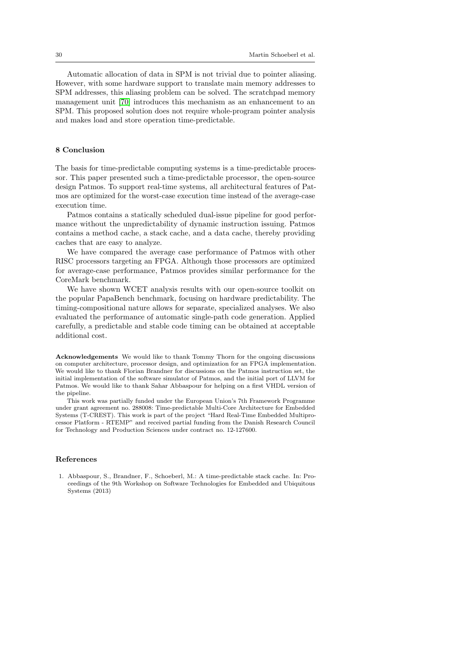Automatic allocation of data in SPM is not trivial due to pointer aliasing. However, with some hardware support to translate main memory addresses to SPM addresses, this aliasing problem can be solved. The scratchpad memory management unit [\[70\]](#page-33-16) introduces this mechanism as an enhancement to an SPM. This proposed solution does not require whole-program pointer analysis and makes load and store operation time-predictable.

# <span id="page-29-1"></span>8 Conclusion

The basis for time-predictable computing systems is a time-predictable processor. This paper presented such a time-predictable processor, the open-source design Patmos. To support real-time systems, all architectural features of Patmos are optimized for the worst-case execution time instead of the average-case execution time.

Patmos contains a statically scheduled dual-issue pipeline for good performance without the unpredictability of dynamic instruction issuing. Patmos contains a method cache, a stack cache, and a data cache, thereby providing caches that are easy to analyze.

We have compared the average case performance of Patmos with other RISC processors targeting an FPGA. Although those processors are optimized for average-case performance, Patmos provides similar performance for the CoreMark benchmark.

We have shown WCET analysis results with our open-source toolkit on the popular PapaBench benchmark, focusing on hardware predictability. The timing-compositional nature allows for separate, specialized analyses. We also evaluated the performance of automatic single-path code generation. Applied carefully, a predictable and stable code timing can be obtained at acceptable additional cost.

Acknowledgements We would like to thank Tommy Thorn for the ongoing discussions on computer architecture, processor design, and optimization for an FPGA implementation. We would like to thank Florian Brandner for discussions on the Patmos instruction set, the initial implementation of the software simulator of Patmos, and the initial port of LLVM for Patmos. We would like to thank Sahar Abbaspour for helping on a first VHDL version of the pipeline.

This work was partially funded under the European Union's 7th Framework Programme under grant agreement no. 288008: Time-predictable Multi-Core Architecture for Embedded Systems (T-CREST). This work is part of the project "Hard Real-Time Embedded Multiprocessor Platform - RTEMP" and received partial funding from the Danish Research Council for Technology and Production Sciences under contract no. 12-127600.

# References

<span id="page-29-0"></span>1. Abbaspour, S., Brandner, F., Schoeberl, M.: A time-predictable stack cache. In: Proceedings of the 9th Workshop on Software Technologies for Embedded and Ubiquitous Systems (2013)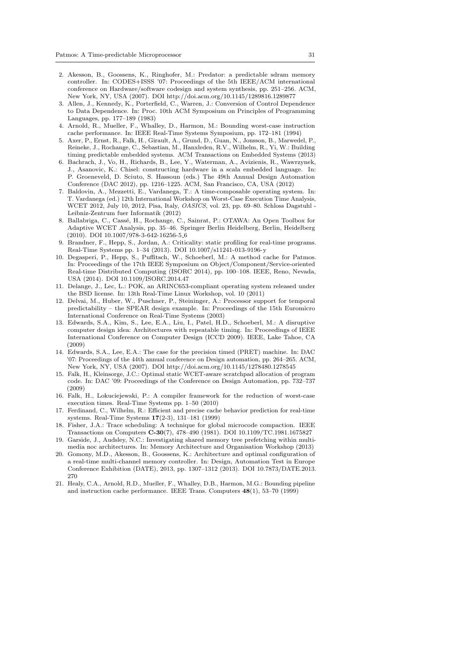- <span id="page-30-8"></span>2. Akesson, B., Goossens, K., Ringhofer, M.: Predator: a predictable sdram memory controller. In: CODES+ISSS '07: Proceedings of the 5th IEEE/ACM international conference on Hardware/software codesign and system synthesis, pp. 251–256. ACM, New York, NY, USA (2007). DOI http://doi.acm.org/10.1145/1289816.1289877
- <span id="page-30-15"></span>3. Allen, J., Kennedy, K., Porterfield, C., Warren, J.: Conversion of Control Dependence to Data Dependence. In: Proc. 10th ACM Symposium on Principles of Programming Languages, pp. 177–189 (1983)
- <span id="page-30-10"></span>4. Arnold, R., Mueller, F., Whalley, D., Harmon, M.: Bounding worst-case instruction cache performance. In: IEEE Real-Time Systems Symposium, pp. 172–181 (1994)
- <span id="page-30-6"></span>5. Axer, P., Ernst, R., Falk, H., Girault, A., Grund, D., Guan, N., Jonsson, B., Marwedel, P., Reineke, J., Rochange, C., Sebastian, M., Hanxleden, R.V., Wilhelm, R., Yi, W.: Building timing predictable embedded systems. ACM Transactions on Embedded Systems (2013)
- <span id="page-30-17"></span>6. Bachrach, J., Vo, H., Richards, B., Lee, Y., Waterman, A., Avizienis, R., Wawrzynek, J., Asanovic, K.: Chisel: constructing hardware in a scala embedded language. In: P. Groeneveld, D. Sciuto, S. Hassoun (eds.) The 49th Annual Design Automation Conference (DAC 2012), pp. 1216–1225. ACM, San Francisco, CA, USA (2012)
- <span id="page-30-12"></span>7. Baldovin, A., Mezzetti, E., Vardanega, T.: A time-composable operating system. In: T. Vardanega (ed.) 12th International Workshop on Worst-Case Execution Time Analysis, WCET 2012, July 10, 2012, Pisa, Italy, OASICS, vol. 23, pp. 69–80. Schloss Dagstuhl - Leibniz-Zentrum fuer Informatik (2012)
- <span id="page-30-16"></span>8. Ballabriga, C., Cassé, H., Rochange, C., Sainrat, P.: OTAWA: An Open Toolbox for Adaptive WCET Analysis, pp. 35–46. Springer Berlin Heidelberg, Berlin, Heidelberg (2010). DOI 10.1007/978-3-642-16256-5 6
- <span id="page-30-0"></span>9. Brandner, F., Hepp, S., Jordan, A.: Criticality: static profiling for real-time programs. Real-Time Systems pp. 1–34 (2013). DOI 10.1007/s11241-013-9196-y
- <span id="page-30-14"></span>10. Degasperi, P., Hepp, S., Puffitsch, W., Schoeberl, M.: A method cache for Patmos. In: Proceedings of the 17th IEEE Symposium on Object/Component/Service-oriented Real-time Distributed Computing (ISORC 2014), pp. 100–108. IEEE, Reno, Nevada, USA (2014). DOI 10.1109/ISORC.2014.47
- <span id="page-30-13"></span>11. Delange, J., Lec, L.: POK, an ARINC653-compliant operating system released under the BSD license. In: 13th Real-Time Linux Workshop, vol. 10 (2011)
- <span id="page-30-3"></span>12. Delvai, M., Huber, W., Puschner, P., Steininger, A.: Processor support for temporal predictability – the SPEAR design example. In: Proceedings of the 15th Euromicro International Conference on Real-Time Systems (2003)
- <span id="page-30-2"></span>13. Edwards, S.A., Kim, S., Lee, E.A., Liu, I., Patel, H.D., Schoeberl, M.: A disruptive computer design idea: Architectures with repeatable timing. In: Proceedings of IEEE International Conference on Computer Design (ICCD 2009). IEEE, Lake Tahoe, CA (2009)
- <span id="page-30-1"></span>14. Edwards, S.A., Lee, E.A.: The case for the precision timed (PRET) machine. In: DAC '07: Proceedings of the 44th annual conference on Design automation, pp. 264–265. ACM, New York, NY, USA (2007). DOI http://doi.acm.org/10.1145/1278480.1278545
- <span id="page-30-4"></span>15. Falk, H., Kleinsorge, J.C.: Optimal static WCET-aware scratchpad allocation of program code. In: DAC '09: Proceedings of the Conference on Design Automation, pp. 732–737 (2009)
- <span id="page-30-5"></span>16. Falk, H., Lokuciejewski, P.: A compiler framework for the reduction of worst-case execution times. Real-Time Systems pp. 1–50 (2010)
- <span id="page-30-19"></span>17. Ferdinand, C., Wilhelm, R.: Efficient and precise cache behavior prediction for real-time systems. Real-Time Systems 17(2-3), 131–181 (1999)
- <span id="page-30-18"></span>18. Fisher, J.A.: Trace scheduling: A technique for global microcode compaction. IEEE Transactions on Computers C-30(7), 478–490 (1981). DOI 10.1109/TC.1981.1675827
- <span id="page-30-7"></span>19. Garside, J., Audsley, N.C.: Investigating shared memory tree prefetching within multimedia noc architectures. In: Memory Architecture and Organisation Workshop (2013)
- <span id="page-30-9"></span>20. Gomony, M.D., Akesson, B., Goossens, K.: Architecture and optimal configuration of a real-time multi-channel memory controller. In: Design, Automation Test in Europe Conference Exhibition (DATE), 2013, pp. 1307–1312 (2013). DOI 10.7873/DATE.2013. 270
- <span id="page-30-11"></span>21. Healy, C.A., Arnold, R.D., Mueller, F., Whalley, D.B., Harmon, M.G.: Bounding pipeline and instruction cache performance. IEEE Trans. Computers 48(1), 53–70 (1999)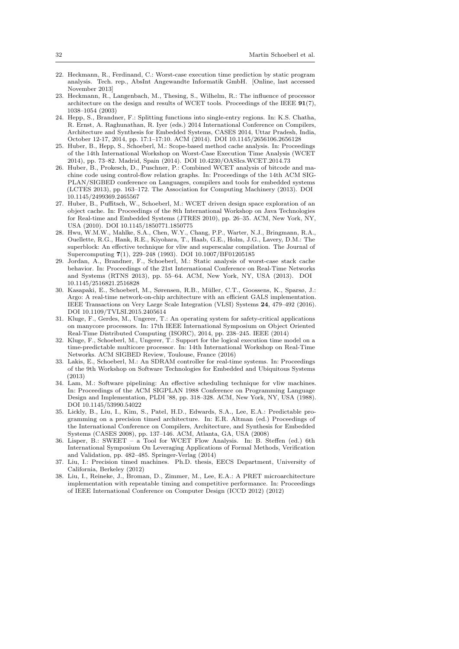- <span id="page-31-4"></span>22. Heckmann, R., Ferdinand, C.: Worst-case execution time prediction by static program analysis. Tech. rep., AbsInt Angewandte Informatik GmbH. [Online, last accessed November 2013]
- <span id="page-31-7"></span>23. Heckmann, R., Langenbach, M., Thesing, S., Wilhelm, R.: The influence of processor architecture on the design and results of WCET tools. Proceedings of the IEEE 91(7), 1038–1054 (2003)
- <span id="page-31-13"></span>24. Hepp, S., Brandner, F.: Splitting functions into single-entry regions. In: K.S. Chatha, R. Ernst, A. Raghunathan, R. Iyer (eds.) 2014 International Conference on Compilers, Architecture and Synthesis for Embedded Systems, CASES 2014, Uttar Pradesh, India, October 12-17, 2014, pp. 17:1–17:10. ACM (2014). DOI 10.1145/2656106.2656128
- <span id="page-31-16"></span>25. Huber, B., Hepp, S., Schoeberl, M.: Scope-based method cache analysis. In: Proceedings of the 14th International Workshop on Worst-Case Execution Time Analysis (WCET 2014), pp. 73–82. Madrid, Spain (2014). DOI 10.4230/OASIcs.WCET.2014.73
- <span id="page-31-8"></span>26. Huber, B., Prokesch, D., Puschner, P.: Combined WCET analysis of bitcode and machine code using control-flow relation graphs. In: Proceedings of the 14th ACM SIG-PLAN/SIGBED conference on Languages, compilers and tools for embedded systems (LCTES 2013), pp. 163–172. The Association for Computing Machinery (2013). DOI 10.1145/2499369.2465567
- <span id="page-31-0"></span>27. Huber, B., Puffitsch, W., Schoeberl, M.: WCET driven design space exploration of an object cache. In: Proceedings of the 8th International Workshop on Java Technologies for Real-time and Embedded Systems (JTRES 2010), pp. 26–35. ACM, New York, NY, USA (2010). DOI 10.1145/1850771.1850775
- <span id="page-31-15"></span>28. Hwu, W.M.W., Mahlke, S.A., Chen, W.Y., Chang, P.P., Warter, N.J., Bringmann, R.A., Ouellette, R.G., Hank, R.E., Kiyohara, T., Haab, G.E., Holm, J.G., Lavery, D.M.: The superblock: An effective technique for vliw and superscalar compilation. The Journal of Supercomputing 7(1), 229–248 (1993). DOI 10.1007/BF01205185
- <span id="page-31-11"></span>29. Jordan, A., Brandner, F., Schoeberl, M.: Static analysis of worst-case stack cache behavior. In: Proceedings of the 21st International Conference on Real-Time Networks and Systems (RTNS 2013), pp. 55–64. ACM, New York, NY, USA (2013). DOI 10.1145/2516821.2516828
- <span id="page-31-6"></span>30. Kasapaki, E., Schoeberl, M., Sørensen, R.B., M¨uller, C.T., Goossens, K., Sparsø, J.: Argo: A real-time network-on-chip architecture with an efficient GALS implementation. IEEE Transactions on Very Large Scale Integration (VLSI) Systems 24, 479–492 (2016). DOI 10.1109/TVLSI.2015.2405614
- <span id="page-31-9"></span>31. Kluge, F., Gerdes, M., Ungerer, T.: An operating system for safety-critical applications on manycore processors. In: 17th IEEE International Symposium on Object Oriented Real-Time Distributed Computing (ISORC), 2014, pp. 238–245. IEEE (2014)
- <span id="page-31-10"></span>32. Kluge, F., Schoeberl, M., Ungerer, T.: Support for the logical execution time model on a time-predictable multicore processor. In: 14th International Workshop on Real-Time Networks. ACM SIGBED Review, Toulouse, France (2016)
- <span id="page-31-5"></span>33. Lakis, E., Schoeberl, M.: An SDRAM controller for real-time systems. In: Proceedings of the 9th Workshop on Software Technologies for Embedded and Ubiquitous Systems (2013)
- <span id="page-31-14"></span>34. Lam, M.: Software pipelining: An effective scheduling technique for vliw machines. In: Proceedings of the ACM SIGPLAN 1988 Conference on Programming Language Design and Implementation, PLDI '88, pp. 318–328. ACM, New York, NY, USA (1988). DOI 10.1145/53990.54022
- <span id="page-31-1"></span>35. Lickly, B., Liu, I., Kim, S., Patel, H.D., Edwards, S.A., Lee, E.A.: Predictable programming on a precision timed architecture. In: E.R. Altman (ed.) Proceedings of the International Conference on Compilers, Architecture, and Synthesis for Embedded Systems (CASES 2008), pp. 137–146. ACM, Atlanta, GA, USA (2008)
- <span id="page-31-12"></span>36. Lisper, B.: SWEET – a Tool for WCET Flow Analysis. In: B. Steffen (ed.) 6th International Symposium On Leveraging Applications of Formal Methods, Verification and Validation, pp. 482–485. Springer-Verlag (2014)
- <span id="page-31-3"></span>37. Liu, I.: Precision timed machines. Ph.D. thesis, EECS Department, University of California, Berkeley (2012)
- <span id="page-31-2"></span>38. Liu, I., Reineke, J., Broman, D., Zimmer, M., Lee, E.A.: A PRET microarchitecture implementation with repeatable timing and competitive performance. In: Proceedings of IEEE International Conference on Computer Design (ICCD 2012) (2012)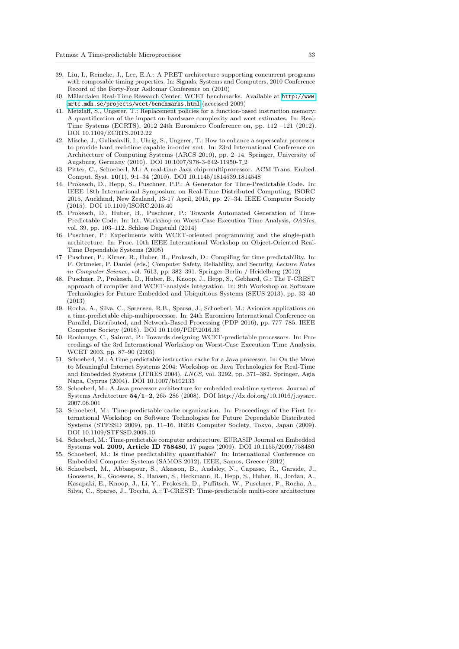- <span id="page-32-3"></span>39. Liu, I., Reineke, J., Lee, E.A.: A PRET architecture supporting concurrent programs with composable timing properties. In: Signals, Systems and Computers, 2010 Conference Record of the Forty-Four Asilomar Conference on (2010)
- <span id="page-32-17"></span>40. M¨alardalen Real-Time Research Center: WCET benchmarks. Available at [http://www.](http://www.mrtc.mdh.se/projects/wcet/benchmarks.html) [mrtc.mdh.se/projects/wcet/benchmarks.html](http://www.mrtc.mdh.se/projects/wcet/benchmarks.html) (accessed 2009)
- <span id="page-32-5"></span>41. Metzlaff, S., Ungerer, T.: Replacement policies for a function-based instruction memory: A quantification of the impact on hardware complexity and wcet estimates. In: Real-Time Systems (ECRTS), 2012 24th Euromicro Conference on, pp. 112 –121 (2012). DOI 10.1109/ECRTS.2012.22
- <span id="page-32-4"></span>42. Mische, J., Guliashvili, I., Uhrig, S., Ungerer, T.: How to enhance a superscalar processor to provide hard real-time capable in-order smt. In: 23rd International Conference on Architecture of Computing Systems (ARCS 2010), pp. 2–14. Springer, University of Augsburg, Germany (2010). DOI 10.1007/978-3-642-11950-7 2
- <span id="page-32-7"></span>43. Pitter, C., Schoeberl, M.: A real-time Java chip-multiprocessor. ACM Trans. Embed. Comput. Syst. 10(1), 9:1–34 (2010). DOI 10.1145/1814539.1814548
- <span id="page-32-15"></span>44. Prokesch, D., Hepp, S., Puschner, P.P.: A Generator for Time-Predictable Code. In: IEEE 18th International Symposium on Real-Time Distributed Computing, ISORC 2015, Auckland, New Zealand, 13-17 April, 2015, pp. 27–34. IEEE Computer Society (2015). DOI 10.1109/ISORC.2015.40
- <span id="page-32-16"></span>45. Prokesch, D., Huber, B., Puschner, P.: Towards Automated Generation of Time-Predictable Code. In: Int. Workshop on Worst-Case Execution Time Analysis, OASIcs, vol. 39, pp. 103–112. Schloss Dagstuhl (2014)
- <span id="page-32-13"></span>46. Puschner, P.: Experiments with WCET-oriented programming and the single-path architecture. In: Proc. 10th IEEE International Workshop on Object-Oriented Real-Time Dependable Systems (2005)
- <span id="page-32-14"></span>47. Puschner, P., Kirner, R., Huber, B., Prokesch, D.: Compiling for time predictability. In: F. Ortmeier, P. Daniel (eds.) Computer Safety, Reliability, and Security, Lecture Notes in Computer Science, vol. 7613, pp. 382–391. Springer Berlin / Heidelberg (2012)
- <span id="page-32-2"></span>48. Puschner, P., Prokesch, D., Huber, B., Knoop, J., Hepp, S., Gebhard, G.: The T-CREST approach of compiler and WCET-analysis integration. In: 9th Workshop on Software Technologies for Future Embedded and Ubiquitious Systems (SEUS 2013), pp. 33–40 (2013)
- <span id="page-32-12"></span>49. Rocha, A., Silva, C., Sørensen, R.B., Sparsø, J., Schoeberl, M.: Avionics applications on a time-predictable chip-multiprocessor. In: 24th Euromicro International Conference on Parallel, Distributed, and Network-Based Processing (PDP 2016), pp. 777–785. IEEE Computer Society (2016). DOI 10.1109/PDP.2016.36
- <span id="page-32-8"></span>50. Rochange, C., Sainrat, P.: Towards designing WCET-predictable processors. In: Proceedings of the 3rd International Workshop on Worst-Case Execution Time Analysis, WCET 2003, pp. 87–90 (2003)
- <span id="page-32-0"></span>51. Schoeberl, M.: A time predictable instruction cache for a Java processor. In: On the Move to Meaningful Internet Systems 2004: Workshop on Java Technologies for Real-Time and Embedded Systems (JTRES 2004), LNCS, vol. 3292, pp. 371–382. Springer, Agia Napa, Cyprus (2004). DOI 10.1007/b102133
- <span id="page-32-6"></span>52. Schoeberl, M.: A Java processor architecture for embedded real-time systems. Journal of Systems Architecture 54/1–2, 265–286 (2008). DOI http://dx.doi.org/10.1016/j.sysarc. 2007.06.001
- <span id="page-32-1"></span>53. Schoeberl, M.: Time-predictable cache organization. In: Proceedings of the First International Workshop on Software Technologies for Future Dependable Distributed Systems (STFSSD 2009), pp. 11–16. IEEE Computer Society, Tokyo, Japan (2009). DOI 10.1109/STFSSD.2009.10
- <span id="page-32-11"></span>54. Schoeberl, M.: Time-predictable computer architecture. EURASIP Journal on Embedded Systems vol. 2009, Article ID 758480, 17 pages (2009). DOI 10.1155/2009/758480
- <span id="page-32-10"></span>55. Schoeberl, M.: Is time predictability quantifiable? In: International Conference on Embedded Computer Systems (SAMOS 2012). IEEE, Samos, Greece (2012)
- <span id="page-32-9"></span>56. Schoeberl, M., Abbaspour, S., Akesson, B., Audsley, N., Capasso, R., Garside, J., Goossens, K., Goossens, S., Hansen, S., Heckmann, R., Hepp, S., Huber, B., Jordan, A., Kasapaki, E., Knoop, J., Li, Y., Prokesch, D., Puffitsch, W., Puschner, P., Rocha, A., Silva, C., Sparsø, J., Tocchi, A.: T-CREST: Time-predictable multi-core architecture